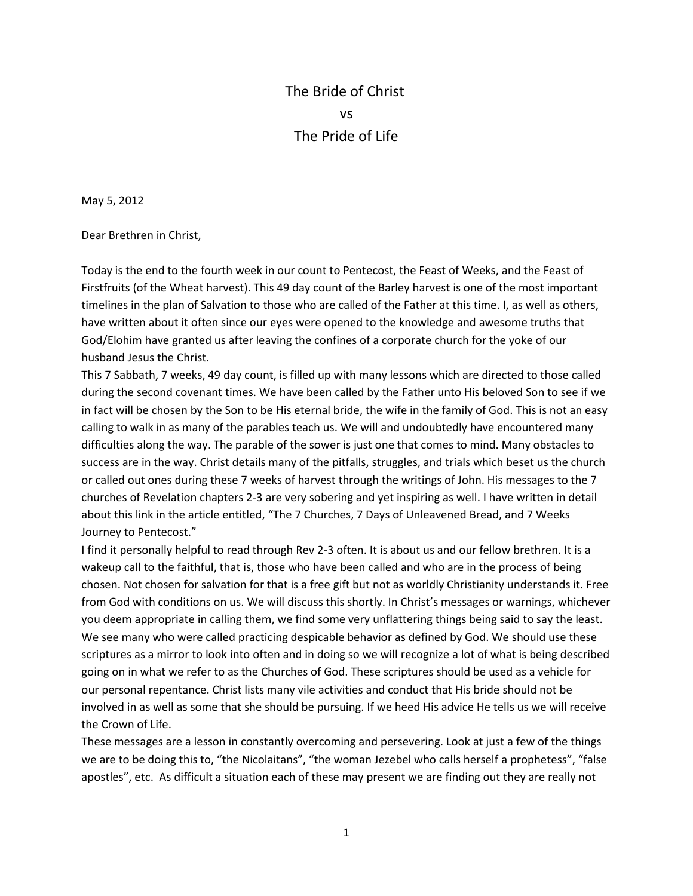The Bride of Christ vs The Pride of Life

May 5, 2012

Dear Brethren in Christ,

Today is the end to the fourth week in our count to Pentecost, the Feast of Weeks, and the Feast of Firstfruits (of the Wheat harvest). This 49 day count of the Barley harvest is one of the most important timelines in the plan of Salvation to those who are called of the Father at this time. I, as well as others, have written about it often since our eyes were opened to the knowledge and awesome truths that God/Elohim have granted us after leaving the confines of a corporate church for the yoke of our husband Jesus the Christ.

This 7 Sabbath, 7 weeks, 49 day count, is filled up with many lessons which are directed to those called during the second covenant times. We have been called by the Father unto His beloved Son to see if we in fact will be chosen by the Son to be His eternal bride, the wife in the family of God. This is not an easy calling to walk in as many of the parables teach us. We will and undoubtedly have encountered many difficulties along the way. The parable of the sower is just one that comes to mind. Many obstacles to success are in the way. Christ details many of the pitfalls, struggles, and trials which beset us the church or called out ones during these 7 weeks of harvest through the writings of John. His messages to the 7 churches of Revelation chapters 2-3 are very sobering and yet inspiring as well. I have written in detail about this link in the article entitled, "The 7 Churches, 7 Days of Unleavened Bread, and 7 Weeks Journey to Pentecost."

I find it personally helpful to read through Rev 2-3 often. It is about us and our fellow brethren. It is a wakeup call to the faithful, that is, those who have been called and who are in the process of being chosen. Not chosen for salvation for that is a free gift but not as worldly Christianity understands it. Free from God with conditions on us. We will discuss this shortly. In Christ's messages or warnings, whichever you deem appropriate in calling them, we find some very unflattering things being said to say the least. We see many who were called practicing despicable behavior as defined by God. We should use these scriptures as a mirror to look into often and in doing so we will recognize a lot of what is being described going on in what we refer to as the Churches of God. These scriptures should be used as a vehicle for our personal repentance. Christ lists many vile activities and conduct that His bride should not be involved in as well as some that she should be pursuing. If we heed His advice He tells us we will receive the Crown of Life.

These messages are a lesson in constantly overcoming and persevering. Look at just a few of the things we are to be doing this to, "the Nicolaitans", "the woman Jezebel who calls herself a prophetess", "false apostles", etc. As difficult a situation each of these may present we are finding out they are really not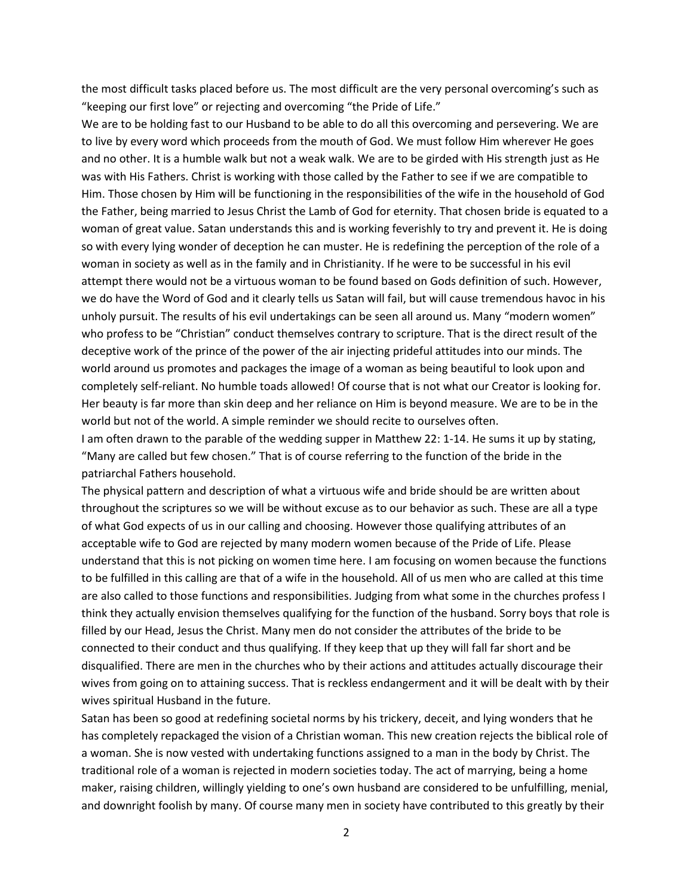the most difficult tasks placed before us. The most difficult are the very personal overcoming's such as "keeping our first love" or rejecting and overcoming "the Pride of Life."

We are to be holding fast to our Husband to be able to do all this overcoming and persevering. We are to live by every word which proceeds from the mouth of God. We must follow Him wherever He goes and no other. It is a humble walk but not a weak walk. We are to be girded with His strength just as He was with His Fathers. Christ is working with those called by the Father to see if we are compatible to Him. Those chosen by Him will be functioning in the responsibilities of the wife in the household of God the Father, being married to Jesus Christ the Lamb of God for eternity. That chosen bride is equated to a woman of great value. Satan understands this and is working feverishly to try and prevent it. He is doing so with every lying wonder of deception he can muster. He is redefining the perception of the role of a woman in society as well as in the family and in Christianity. If he were to be successful in his evil attempt there would not be a virtuous woman to be found based on Gods definition of such. However, we do have the Word of God and it clearly tells us Satan will fail, but will cause tremendous havoc in his unholy pursuit. The results of his evil undertakings can be seen all around us. Many "modern women" who profess to be "Christian" conduct themselves contrary to scripture. That is the direct result of the deceptive work of the prince of the power of the air injecting prideful attitudes into our minds. The world around us promotes and packages the image of a woman as being beautiful to look upon and completely self-reliant. No humble toads allowed! Of course that is not what our Creator is looking for. Her beauty is far more than skin deep and her reliance on Him is beyond measure. We are to be in the world but not of the world. A simple reminder we should recite to ourselves often.

I am often drawn to the parable of the wedding supper in Matthew 22: 1-14. He sums it up by stating, "Many are called but few chosen." That is of course referring to the function of the bride in the patriarchal Fathers household.

The physical pattern and description of what a virtuous wife and bride should be are written about throughout the scriptures so we will be without excuse as to our behavior as such. These are all a type of what God expects of us in our calling and choosing. However those qualifying attributes of an acceptable wife to God are rejected by many modern women because of the Pride of Life. Please understand that this is not picking on women time here. I am focusing on women because the functions to be fulfilled in this calling are that of a wife in the household. All of us men who are called at this time are also called to those functions and responsibilities. Judging from what some in the churches profess I think they actually envision themselves qualifying for the function of the husband. Sorry boys that role is filled by our Head, Jesus the Christ. Many men do not consider the attributes of the bride to be connected to their conduct and thus qualifying. If they keep that up they will fall far short and be disqualified. There are men in the churches who by their actions and attitudes actually discourage their wives from going on to attaining success. That is reckless endangerment and it will be dealt with by their wives spiritual Husband in the future.

Satan has been so good at redefining societal norms by his trickery, deceit, and lying wonders that he has completely repackaged the vision of a Christian woman. This new creation rejects the biblical role of a woman. She is now vested with undertaking functions assigned to a man in the body by Christ. The traditional role of a woman is rejected in modern societies today. The act of marrying, being a home maker, raising children, willingly yielding to one's own husband are considered to be unfulfilling, menial, and downright foolish by many. Of course many men in society have contributed to this greatly by their

2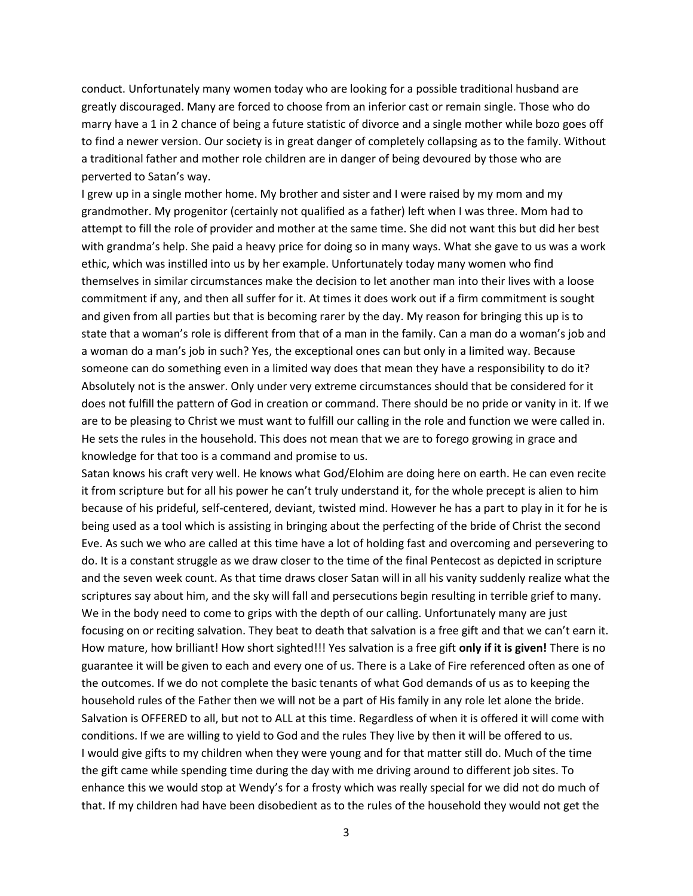conduct. Unfortunately many women today who are looking for a possible traditional husband are greatly discouraged. Many are forced to choose from an inferior cast or remain single. Those who do marry have a 1 in 2 chance of being a future statistic of divorce and a single mother while bozo goes off to find a newer version. Our society is in great danger of completely collapsing as to the family. Without a traditional father and mother role children are in danger of being devoured by those who are perverted to Satan's way.

I grew up in a single mother home. My brother and sister and I were raised by my mom and my grandmother. My progenitor (certainly not qualified as a father) left when I was three. Mom had to attempt to fill the role of provider and mother at the same time. She did not want this but did her best with grandma's help. She paid a heavy price for doing so in many ways. What she gave to us was a work ethic, which was instilled into us by her example. Unfortunately today many women who find themselves in similar circumstances make the decision to let another man into their lives with a loose commitment if any, and then all suffer for it. At times it does work out if a firm commitment is sought and given from all parties but that is becoming rarer by the day. My reason for bringing this up is to state that a woman's role is different from that of a man in the family. Can a man do a woman's job and a woman do a man's job in such? Yes, the exceptional ones can but only in a limited way. Because someone can do something even in a limited way does that mean they have a responsibility to do it? Absolutely not is the answer. Only under very extreme circumstances should that be considered for it does not fulfill the pattern of God in creation or command. There should be no pride or vanity in it. If we are to be pleasing to Christ we must want to fulfill our calling in the role and function we were called in. He sets the rules in the household. This does not mean that we are to forego growing in grace and knowledge for that too is a command and promise to us.

Satan knows his craft very well. He knows what God/Elohim are doing here on earth. He can even recite it from scripture but for all his power he can't truly understand it, for the whole precept is alien to him because of his prideful, self-centered, deviant, twisted mind. However he has a part to play in it for he is being used as a tool which is assisting in bringing about the perfecting of the bride of Christ the second Eve. As such we who are called at this time have a lot of holding fast and overcoming and persevering to do. It is a constant struggle as we draw closer to the time of the final Pentecost as depicted in scripture and the seven week count. As that time draws closer Satan will in all his vanity suddenly realize what the scriptures say about him, and the sky will fall and persecutions begin resulting in terrible grief to many. We in the body need to come to grips with the depth of our calling. Unfortunately many are just focusing on or reciting salvation. They beat to death that salvation is a free gift and that we can't earn it. How mature, how brilliant! How short sighted!!! Yes salvation is a free gift **only if it is given!** There is no guarantee it will be given to each and every one of us. There is a Lake of Fire referenced often as one of the outcomes. If we do not complete the basic tenants of what God demands of us as to keeping the household rules of the Father then we will not be a part of His family in any role let alone the bride. Salvation is OFFERED to all, but not to ALL at this time. Regardless of when it is offered it will come with conditions. If we are willing to yield to God and the rules They live by then it will be offered to us. I would give gifts to my children when they were young and for that matter still do. Much of the time the gift came while spending time during the day with me driving around to different job sites. To enhance this we would stop at Wendy's for a frosty which was really special for we did not do much of that. If my children had have been disobedient as to the rules of the household they would not get the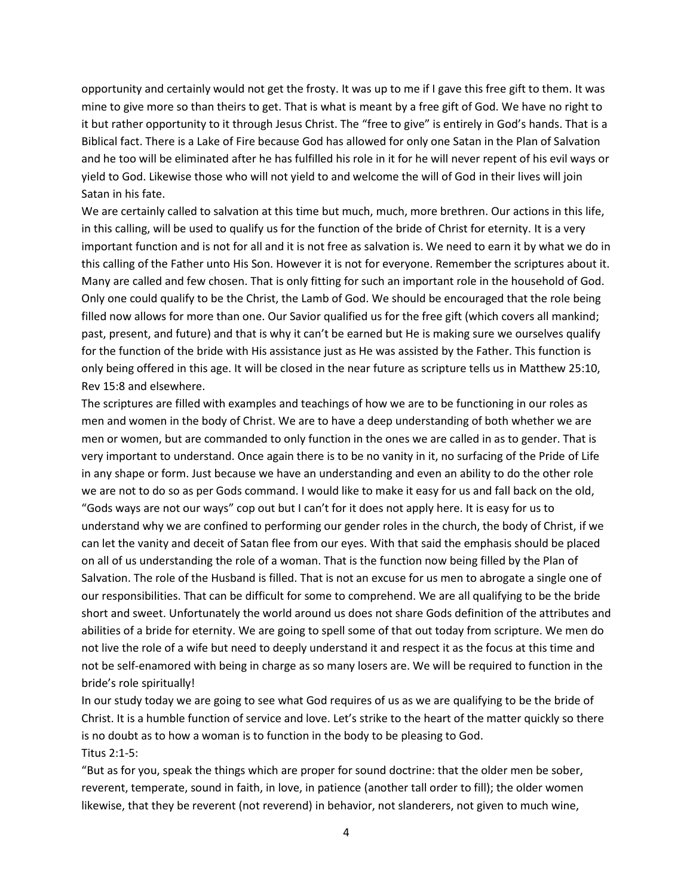opportunity and certainly would not get the frosty. It was up to me if I gave this free gift to them. It was mine to give more so than theirs to get. That is what is meant by a free gift of God. We have no right to it but rather opportunity to it through Jesus Christ. The "free to give" is entirely in God's hands. That is a Biblical fact. There is a Lake of Fire because God has allowed for only one Satan in the Plan of Salvation and he too will be eliminated after he has fulfilled his role in it for he will never repent of his evil ways or yield to God. Likewise those who will not yield to and welcome the will of God in their lives will join Satan in his fate.

We are certainly called to salvation at this time but much, much, more brethren. Our actions in this life, in this calling, will be used to qualify us for the function of the bride of Christ for eternity. It is a very important function and is not for all and it is not free as salvation is. We need to earn it by what we do in this calling of the Father unto His Son. However it is not for everyone. Remember the scriptures about it. Many are called and few chosen. That is only fitting for such an important role in the household of God. Only one could qualify to be the Christ, the Lamb of God. We should be encouraged that the role being filled now allows for more than one. Our Savior qualified us for the free gift (which covers all mankind; past, present, and future) and that is why it can't be earned but He is making sure we ourselves qualify for the function of the bride with His assistance just as He was assisted by the Father. This function is only being offered in this age. It will be closed in the near future as scripture tells us in Matthew 25:10, Rev 15:8 and elsewhere.

The scriptures are filled with examples and teachings of how we are to be functioning in our roles as men and women in the body of Christ. We are to have a deep understanding of both whether we are men or women, but are commanded to only function in the ones we are called in as to gender. That is very important to understand. Once again there is to be no vanity in it, no surfacing of the Pride of Life in any shape or form. Just because we have an understanding and even an ability to do the other role we are not to do so as per Gods command. I would like to make it easy for us and fall back on the old, "Gods ways are not our ways" cop out but I can't for it does not apply here. It is easy for us to understand why we are confined to performing our gender roles in the church, the body of Christ, if we can let the vanity and deceit of Satan flee from our eyes. With that said the emphasis should be placed on all of us understanding the role of a woman. That is the function now being filled by the Plan of Salvation. The role of the Husband is filled. That is not an excuse for us men to abrogate a single one of our responsibilities. That can be difficult for some to comprehend. We are all qualifying to be the bride short and sweet. Unfortunately the world around us does not share Gods definition of the attributes and abilities of a bride for eternity. We are going to spell some of that out today from scripture. We men do not live the role of a wife but need to deeply understand it and respect it as the focus at this time and not be self-enamored with being in charge as so many losers are. We will be required to function in the bride's role spiritually!

In our study today we are going to see what God requires of us as we are qualifying to be the bride of Christ. It is a humble function of service and love. Let's strike to the heart of the matter quickly so there is no doubt as to how a woman is to function in the body to be pleasing to God. Titus 2:1-5:

"But as for you, speak the things which are proper for sound doctrine: that the older men be sober, reverent, temperate, sound in faith, in love, in patience (another tall order to fill); the older women likewise, that they be reverent (not reverend) in behavior, not slanderers, not given to much wine,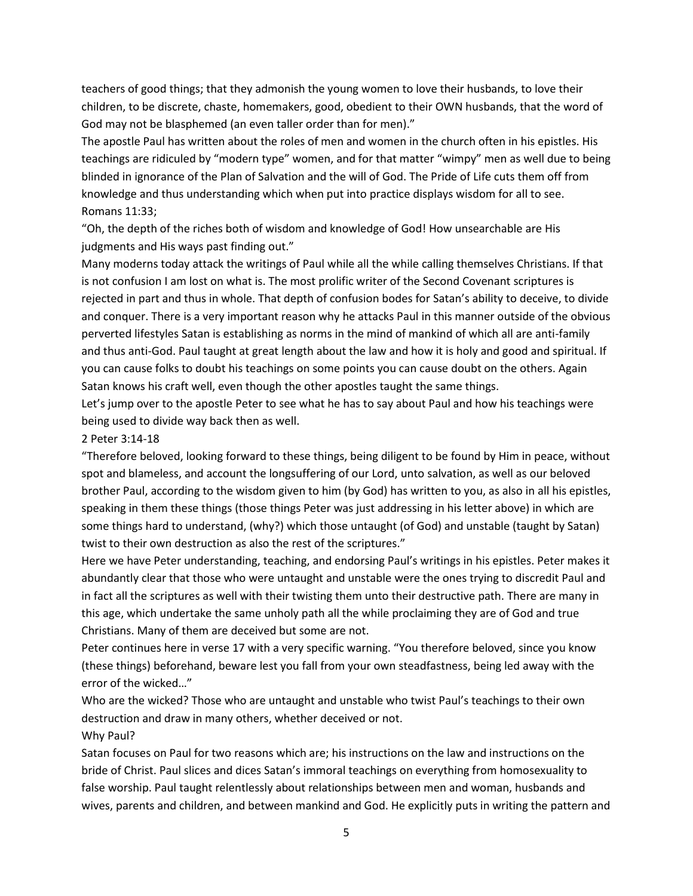teachers of good things; that they admonish the young women to love their husbands, to love their children, to be discrete, chaste, homemakers, good, obedient to their OWN husbands, that the word of God may not be blasphemed (an even taller order than for men)."

The apostle Paul has written about the roles of men and women in the church often in his epistles. His teachings are ridiculed by "modern type" women, and for that matter "wimpy" men as well due to being blinded in ignorance of the Plan of Salvation and the will of God. The Pride of Life cuts them off from knowledge and thus understanding which when put into practice displays wisdom for all to see. Romans 11:33;

"Oh, the depth of the riches both of wisdom and knowledge of God! How unsearchable are His judgments and His ways past finding out."

Many moderns today attack the writings of Paul while all the while calling themselves Christians. If that is not confusion I am lost on what is. The most prolific writer of the Second Covenant scriptures is rejected in part and thus in whole. That depth of confusion bodes for Satan's ability to deceive, to divide and conquer. There is a very important reason why he attacks Paul in this manner outside of the obvious perverted lifestyles Satan is establishing as norms in the mind of mankind of which all are anti-family and thus anti-God. Paul taught at great length about the law and how it is holy and good and spiritual. If you can cause folks to doubt his teachings on some points you can cause doubt on the others. Again Satan knows his craft well, even though the other apostles taught the same things.

Let's jump over to the apostle Peter to see what he has to say about Paul and how his teachings were being used to divide way back then as well.

# 2 Peter 3:14-18

"Therefore beloved, looking forward to these things, being diligent to be found by Him in peace, without spot and blameless, and account the longsuffering of our Lord, unto salvation, as well as our beloved brother Paul, according to the wisdom given to him (by God) has written to you, as also in all his epistles, speaking in them these things (those things Peter was just addressing in his letter above) in which are some things hard to understand, (why?) which those untaught (of God) and unstable (taught by Satan) twist to their own destruction as also the rest of the scriptures."

Here we have Peter understanding, teaching, and endorsing Paul's writings in his epistles. Peter makes it abundantly clear that those who were untaught and unstable were the ones trying to discredit Paul and in fact all the scriptures as well with their twisting them unto their destructive path. There are many in this age, which undertake the same unholy path all the while proclaiming they are of God and true Christians. Many of them are deceived but some are not.

Peter continues here in verse 17 with a very specific warning. "You therefore beloved, since you know (these things) beforehand, beware lest you fall from your own steadfastness, being led away with the error of the wicked…"

Who are the wicked? Those who are untaught and unstable who twist Paul's teachings to their own destruction and draw in many others, whether deceived or not.

# Why Paul?

Satan focuses on Paul for two reasons which are; his instructions on the law and instructions on the bride of Christ. Paul slices and dices Satan's immoral teachings on everything from homosexuality to false worship. Paul taught relentlessly about relationships between men and woman, husbands and wives, parents and children, and between mankind and God. He explicitly puts in writing the pattern and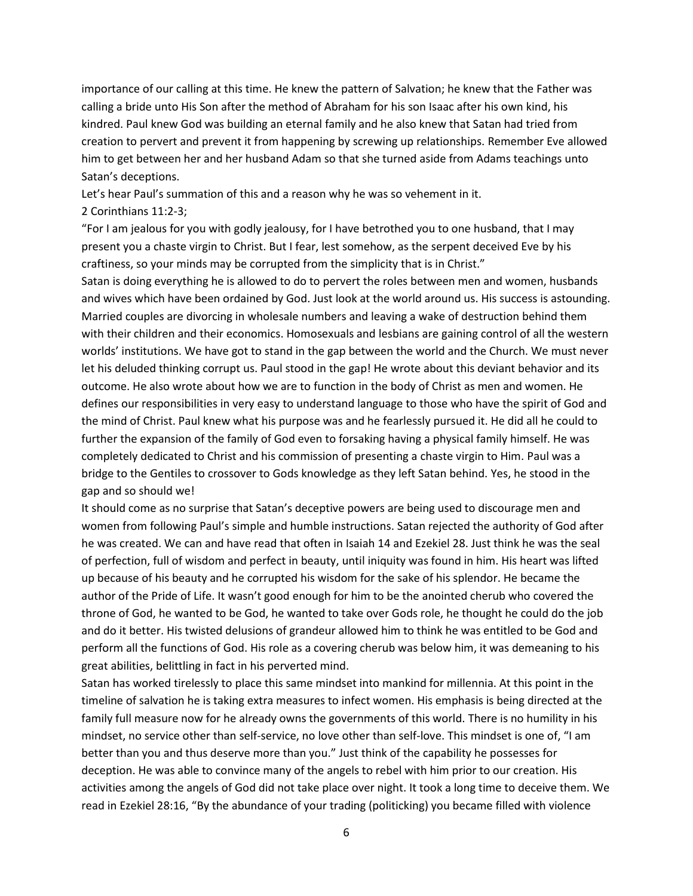importance of our calling at this time. He knew the pattern of Salvation; he knew that the Father was calling a bride unto His Son after the method of Abraham for his son Isaac after his own kind, his kindred. Paul knew God was building an eternal family and he also knew that Satan had tried from creation to pervert and prevent it from happening by screwing up relationships. Remember Eve allowed him to get between her and her husband Adam so that she turned aside from Adams teachings unto Satan's deceptions.

Let's hear Paul's summation of this and a reason why he was so vehement in it.

#### 2 Corinthians 11:2-3;

"For I am jealous for you with godly jealousy, for I have betrothed you to one husband, that I may present you a chaste virgin to Christ. But I fear, lest somehow, as the serpent deceived Eve by his craftiness, so your minds may be corrupted from the simplicity that is in Christ."

Satan is doing everything he is allowed to do to pervert the roles between men and women, husbands and wives which have been ordained by God. Just look at the world around us. His success is astounding. Married couples are divorcing in wholesale numbers and leaving a wake of destruction behind them with their children and their economics. Homosexuals and lesbians are gaining control of all the western worlds' institutions. We have got to stand in the gap between the world and the Church. We must never let his deluded thinking corrupt us. Paul stood in the gap! He wrote about this deviant behavior and its outcome. He also wrote about how we are to function in the body of Christ as men and women. He defines our responsibilities in very easy to understand language to those who have the spirit of God and the mind of Christ. Paul knew what his purpose was and he fearlessly pursued it. He did all he could to further the expansion of the family of God even to forsaking having a physical family himself. He was completely dedicated to Christ and his commission of presenting a chaste virgin to Him. Paul was a bridge to the Gentiles to crossover to Gods knowledge as they left Satan behind. Yes, he stood in the gap and so should we!

It should come as no surprise that Satan's deceptive powers are being used to discourage men and women from following Paul's simple and humble instructions. Satan rejected the authority of God after he was created. We can and have read that often in Isaiah 14 and Ezekiel 28. Just think he was the seal of perfection, full of wisdom and perfect in beauty, until iniquity was found in him. His heart was lifted up because of his beauty and he corrupted his wisdom for the sake of his splendor. He became the author of the Pride of Life. It wasn't good enough for him to be the anointed cherub who covered the throne of God, he wanted to be God, he wanted to take over Gods role, he thought he could do the job and do it better. His twisted delusions of grandeur allowed him to think he was entitled to be God and perform all the functions of God. His role as a covering cherub was below him, it was demeaning to his great abilities, belittling in fact in his perverted mind.

Satan has worked tirelessly to place this same mindset into mankind for millennia. At this point in the timeline of salvation he is taking extra measures to infect women. His emphasis is being directed at the family full measure now for he already owns the governments of this world. There is no humility in his mindset, no service other than self-service, no love other than self-love. This mindset is one of, "I am better than you and thus deserve more than you." Just think of the capability he possesses for deception. He was able to convince many of the angels to rebel with him prior to our creation. His activities among the angels of God did not take place over night. It took a long time to deceive them. We read in Ezekiel 28:16, "By the abundance of your trading (politicking) you became filled with violence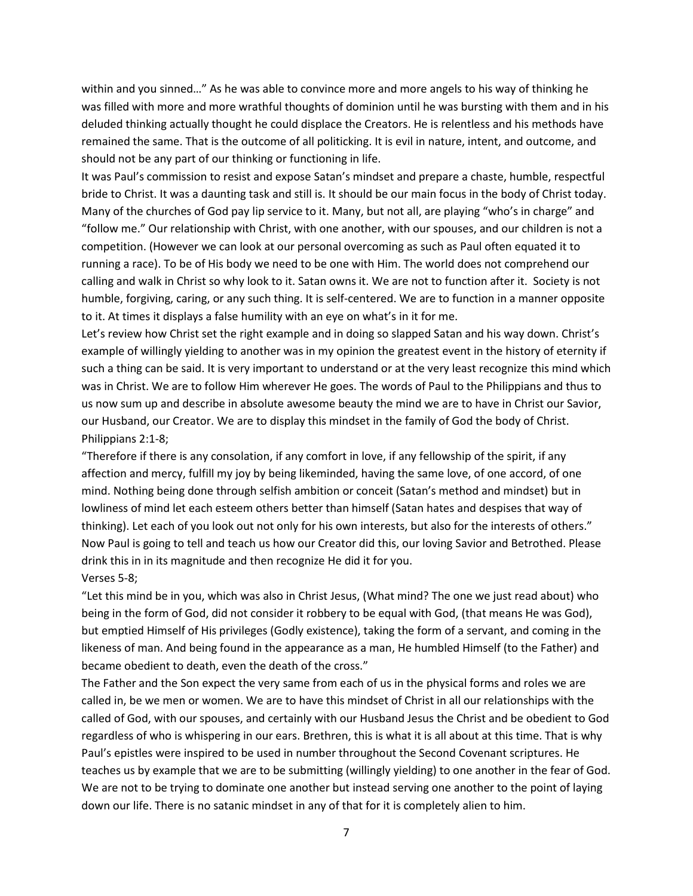within and you sinned…" As he was able to convince more and more angels to his way of thinking he was filled with more and more wrathful thoughts of dominion until he was bursting with them and in his deluded thinking actually thought he could displace the Creators. He is relentless and his methods have remained the same. That is the outcome of all politicking. It is evil in nature, intent, and outcome, and should not be any part of our thinking or functioning in life.

It was Paul's commission to resist and expose Satan's mindset and prepare a chaste, humble, respectful bride to Christ. It was a daunting task and still is. It should be our main focus in the body of Christ today. Many of the churches of God pay lip service to it. Many, but not all, are playing "who's in charge" and "follow me." Our relationship with Christ, with one another, with our spouses, and our children is not a competition. (However we can look at our personal overcoming as such as Paul often equated it to running a race). To be of His body we need to be one with Him. The world does not comprehend our calling and walk in Christ so why look to it. Satan owns it. We are not to function after it. Society is not humble, forgiving, caring, or any such thing. It is self-centered. We are to function in a manner opposite to it. At times it displays a false humility with an eye on what's in it for me.

Let's review how Christ set the right example and in doing so slapped Satan and his way down. Christ's example of willingly yielding to another was in my opinion the greatest event in the history of eternity if such a thing can be said. It is very important to understand or at the very least recognize this mind which was in Christ. We are to follow Him wherever He goes. The words of Paul to the Philippians and thus to us now sum up and describe in absolute awesome beauty the mind we are to have in Christ our Savior, our Husband, our Creator. We are to display this mindset in the family of God the body of Christ. Philippians 2:1-8;

"Therefore if there is any consolation, if any comfort in love, if any fellowship of the spirit, if any affection and mercy, fulfill my joy by being likeminded, having the same love, of one accord, of one mind. Nothing being done through selfish ambition or conceit (Satan's method and mindset) but in lowliness of mind let each esteem others better than himself (Satan hates and despises that way of thinking). Let each of you look out not only for his own interests, but also for the interests of others." Now Paul is going to tell and teach us how our Creator did this, our loving Savior and Betrothed. Please drink this in in its magnitude and then recognize He did it for you. Verses 5-8;

"Let this mind be in you, which was also in Christ Jesus, (What mind? The one we just read about) who being in the form of God, did not consider it robbery to be equal with God, (that means He was God), but emptied Himself of His privileges (Godly existence), taking the form of a servant, and coming in the likeness of man. And being found in the appearance as a man, He humbled Himself (to the Father) and became obedient to death, even the death of the cross."

The Father and the Son expect the very same from each of us in the physical forms and roles we are called in, be we men or women. We are to have this mindset of Christ in all our relationships with the called of God, with our spouses, and certainly with our Husband Jesus the Christ and be obedient to God regardless of who is whispering in our ears. Brethren, this is what it is all about at this time. That is why Paul's epistles were inspired to be used in number throughout the Second Covenant scriptures. He teaches us by example that we are to be submitting (willingly yielding) to one another in the fear of God. We are not to be trying to dominate one another but instead serving one another to the point of laying down our life. There is no satanic mindset in any of that for it is completely alien to him.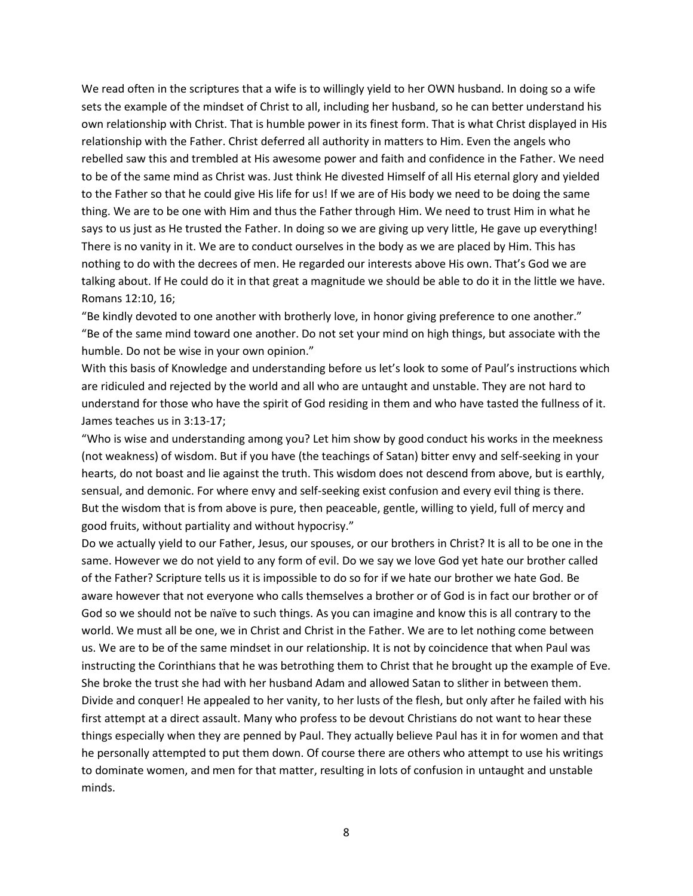We read often in the scriptures that a wife is to willingly yield to her OWN husband. In doing so a wife sets the example of the mindset of Christ to all, including her husband, so he can better understand his own relationship with Christ. That is humble power in its finest form. That is what Christ displayed in His relationship with the Father. Christ deferred all authority in matters to Him. Even the angels who rebelled saw this and trembled at His awesome power and faith and confidence in the Father. We need to be of the same mind as Christ was. Just think He divested Himself of all His eternal glory and yielded to the Father so that he could give His life for us! If we are of His body we need to be doing the same thing. We are to be one with Him and thus the Father through Him. We need to trust Him in what he says to us just as He trusted the Father. In doing so we are giving up very little, He gave up everything! There is no vanity in it. We are to conduct ourselves in the body as we are placed by Him. This has nothing to do with the decrees of men. He regarded our interests above His own. That's God we are talking about. If He could do it in that great a magnitude we should be able to do it in the little we have. Romans 12:10, 16;

"Be kindly devoted to one another with brotherly love, in honor giving preference to one another." "Be of the same mind toward one another. Do not set your mind on high things, but associate with the humble. Do not be wise in your own opinion."

With this basis of Knowledge and understanding before us let's look to some of Paul's instructions which are ridiculed and rejected by the world and all who are untaught and unstable. They are not hard to understand for those who have the spirit of God residing in them and who have tasted the fullness of it. James teaches us in 3:13-17;

"Who is wise and understanding among you? Let him show by good conduct his works in the meekness (not weakness) of wisdom. But if you have (the teachings of Satan) bitter envy and self-seeking in your hearts, do not boast and lie against the truth. This wisdom does not descend from above, but is earthly, sensual, and demonic. For where envy and self-seeking exist confusion and every evil thing is there. But the wisdom that is from above is pure, then peaceable, gentle, willing to yield, full of mercy and good fruits, without partiality and without hypocrisy."

Do we actually yield to our Father, Jesus, our spouses, or our brothers in Christ? It is all to be one in the same. However we do not yield to any form of evil. Do we say we love God yet hate our brother called of the Father? Scripture tells us it is impossible to do so for if we hate our brother we hate God. Be aware however that not everyone who calls themselves a brother or of God is in fact our brother or of God so we should not be naïve to such things. As you can imagine and know this is all contrary to the world. We must all be one, we in Christ and Christ in the Father. We are to let nothing come between us. We are to be of the same mindset in our relationship. It is not by coincidence that when Paul was instructing the Corinthians that he was betrothing them to Christ that he brought up the example of Eve. She broke the trust she had with her husband Adam and allowed Satan to slither in between them. Divide and conquer! He appealed to her vanity, to her lusts of the flesh, but only after he failed with his first attempt at a direct assault. Many who profess to be devout Christians do not want to hear these things especially when they are penned by Paul. They actually believe Paul has it in for women and that he personally attempted to put them down. Of course there are others who attempt to use his writings to dominate women, and men for that matter, resulting in lots of confusion in untaught and unstable minds.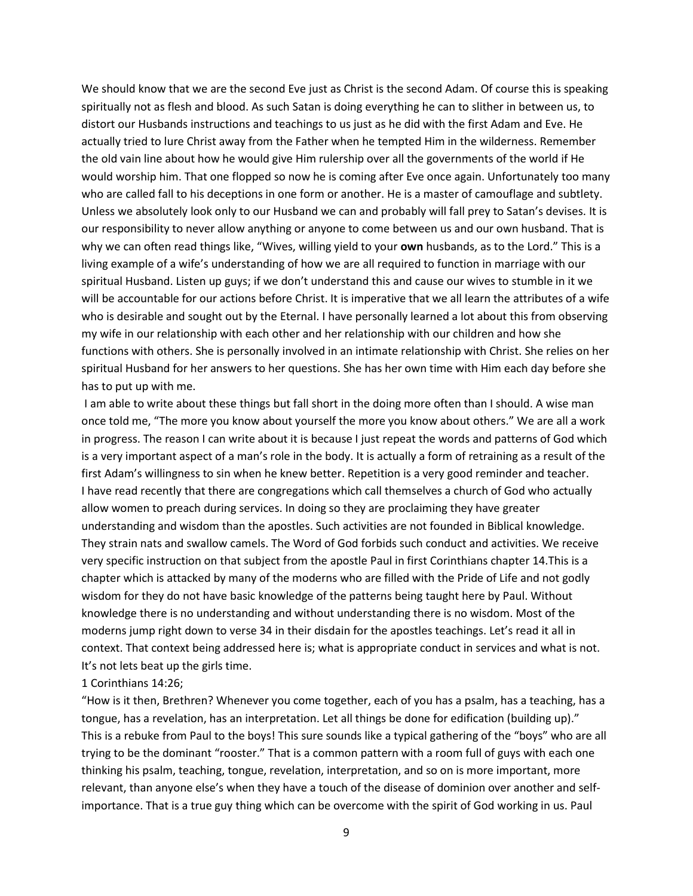We should know that we are the second Eve just as Christ is the second Adam. Of course this is speaking spiritually not as flesh and blood. As such Satan is doing everything he can to slither in between us, to distort our Husbands instructions and teachings to us just as he did with the first Adam and Eve. He actually tried to lure Christ away from the Father when he tempted Him in the wilderness. Remember the old vain line about how he would give Him rulership over all the governments of the world if He would worship him. That one flopped so now he is coming after Eve once again. Unfortunately too many who are called fall to his deceptions in one form or another. He is a master of camouflage and subtlety. Unless we absolutely look only to our Husband we can and probably will fall prey to Satan's devises. It is our responsibility to never allow anything or anyone to come between us and our own husband. That is why we can often read things like, "Wives, willing yield to your **own** husbands, as to the Lord." This is a living example of a wife's understanding of how we are all required to function in marriage with our spiritual Husband. Listen up guys; if we don't understand this and cause our wives to stumble in it we will be accountable for our actions before Christ. It is imperative that we all learn the attributes of a wife who is desirable and sought out by the Eternal. I have personally learned a lot about this from observing my wife in our relationship with each other and her relationship with our children and how she functions with others. She is personally involved in an intimate relationship with Christ. She relies on her spiritual Husband for her answers to her questions. She has her own time with Him each day before she has to put up with me.

I am able to write about these things but fall short in the doing more often than I should. A wise man once told me, "The more you know about yourself the more you know about others." We are all a work in progress. The reason I can write about it is because I just repeat the words and patterns of God which is a very important aspect of a man's role in the body. It is actually a form of retraining as a result of the first Adam's willingness to sin when he knew better. Repetition is a very good reminder and teacher. I have read recently that there are congregations which call themselves a church of God who actually allow women to preach during services. In doing so they are proclaiming they have greater understanding and wisdom than the apostles. Such activities are not founded in Biblical knowledge. They strain nats and swallow camels. The Word of God forbids such conduct and activities. We receive very specific instruction on that subject from the apostle Paul in first Corinthians chapter 14.This is a chapter which is attacked by many of the moderns who are filled with the Pride of Life and not godly wisdom for they do not have basic knowledge of the patterns being taught here by Paul. Without knowledge there is no understanding and without understanding there is no wisdom. Most of the moderns jump right down to verse 34 in their disdain for the apostles teachings. Let's read it all in context. That context being addressed here is; what is appropriate conduct in services and what is not. It's not lets beat up the girls time.

#### 1 Corinthians 14:26;

"How is it then, Brethren? Whenever you come together, each of you has a psalm, has a teaching, has a tongue, has a revelation, has an interpretation. Let all things be done for edification (building up)." This is a rebuke from Paul to the boys! This sure sounds like a typical gathering of the "boys" who are all trying to be the dominant "rooster." That is a common pattern with a room full of guys with each one thinking his psalm, teaching, tongue, revelation, interpretation, and so on is more important, more relevant, than anyone else's when they have a touch of the disease of dominion over another and selfimportance. That is a true guy thing which can be overcome with the spirit of God working in us. Paul

9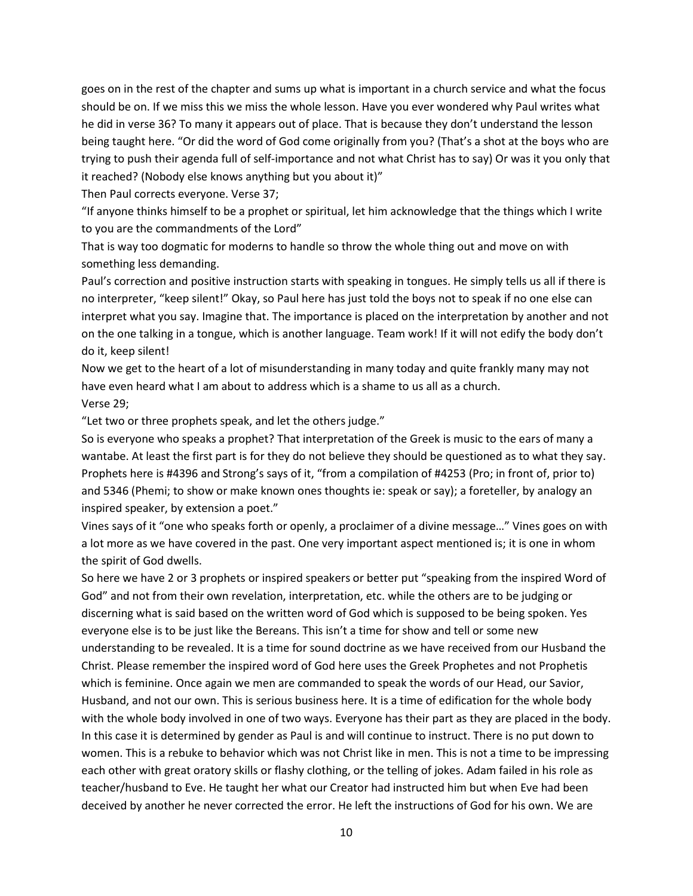goes on in the rest of the chapter and sums up what is important in a church service and what the focus should be on. If we miss this we miss the whole lesson. Have you ever wondered why Paul writes what he did in verse 36? To many it appears out of place. That is because they don't understand the lesson being taught here. "Or did the word of God come originally from you? (That's a shot at the boys who are trying to push their agenda full of self-importance and not what Christ has to say) Or was it you only that it reached? (Nobody else knows anything but you about it)"

Then Paul corrects everyone. Verse 37;

"If anyone thinks himself to be a prophet or spiritual, let him acknowledge that the things which I write to you are the commandments of the Lord"

That is way too dogmatic for moderns to handle so throw the whole thing out and move on with something less demanding.

Paul's correction and positive instruction starts with speaking in tongues. He simply tells us all if there is no interpreter, "keep silent!" Okay, so Paul here has just told the boys not to speak if no one else can interpret what you say. Imagine that. The importance is placed on the interpretation by another and not on the one talking in a tongue, which is another language. Team work! If it will not edify the body don't do it, keep silent!

Now we get to the heart of a lot of misunderstanding in many today and quite frankly many may not have even heard what I am about to address which is a shame to us all as a church. Verse 29;

"Let two or three prophets speak, and let the others judge."

So is everyone who speaks a prophet? That interpretation of the Greek is music to the ears of many a wantabe. At least the first part is for they do not believe they should be questioned as to what they say. Prophets here is #4396 and Strong's says of it, "from a compilation of #4253 (Pro; in front of, prior to) and 5346 (Phemi; to show or make known ones thoughts ie: speak or say); a foreteller, by analogy an inspired speaker, by extension a poet."

Vines says of it "one who speaks forth or openly, a proclaimer of a divine message…" Vines goes on with a lot more as we have covered in the past. One very important aspect mentioned is; it is one in whom the spirit of God dwells.

So here we have 2 or 3 prophets or inspired speakers or better put "speaking from the inspired Word of God" and not from their own revelation, interpretation, etc. while the others are to be judging or discerning what is said based on the written word of God which is supposed to be being spoken. Yes everyone else is to be just like the Bereans. This isn't a time for show and tell or some new understanding to be revealed. It is a time for sound doctrine as we have received from our Husband the Christ. Please remember the inspired word of God here uses the Greek Prophetes and not Prophetis which is feminine. Once again we men are commanded to speak the words of our Head, our Savior, Husband, and not our own. This is serious business here. It is a time of edification for the whole body with the whole body involved in one of two ways. Everyone has their part as they are placed in the body. In this case it is determined by gender as Paul is and will continue to instruct. There is no put down to women. This is a rebuke to behavior which was not Christ like in men. This is not a time to be impressing each other with great oratory skills or flashy clothing, or the telling of jokes. Adam failed in his role as teacher/husband to Eve. He taught her what our Creator had instructed him but when Eve had been deceived by another he never corrected the error. He left the instructions of God for his own. We are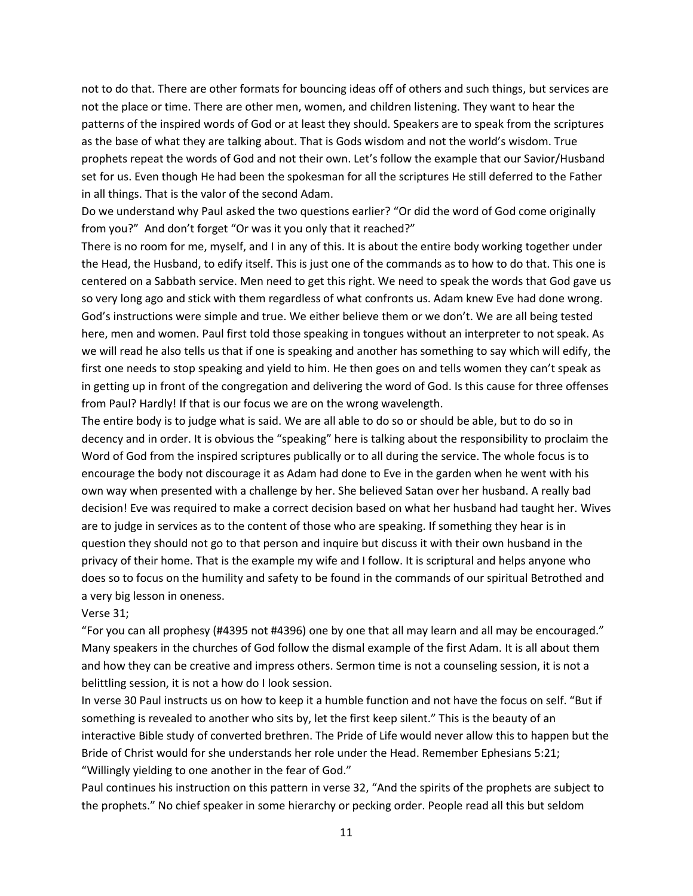not to do that. There are other formats for bouncing ideas off of others and such things, but services are not the place or time. There are other men, women, and children listening. They want to hear the patterns of the inspired words of God or at least they should. Speakers are to speak from the scriptures as the base of what they are talking about. That is Gods wisdom and not the world's wisdom. True prophets repeat the words of God and not their own. Let's follow the example that our Savior/Husband set for us. Even though He had been the spokesman for all the scriptures He still deferred to the Father in all things. That is the valor of the second Adam.

Do we understand why Paul asked the two questions earlier? "Or did the word of God come originally from you?" And don't forget "Or was it you only that it reached?"

There is no room for me, myself, and I in any of this. It is about the entire body working together under the Head, the Husband, to edify itself. This is just one of the commands as to how to do that. This one is centered on a Sabbath service. Men need to get this right. We need to speak the words that God gave us so very long ago and stick with them regardless of what confronts us. Adam knew Eve had done wrong. God's instructions were simple and true. We either believe them or we don't. We are all being tested here, men and women. Paul first told those speaking in tongues without an interpreter to not speak. As we will read he also tells us that if one is speaking and another has something to say which will edify, the first one needs to stop speaking and yield to him. He then goes on and tells women they can't speak as in getting up in front of the congregation and delivering the word of God. Is this cause for three offenses from Paul? Hardly! If that is our focus we are on the wrong wavelength.

The entire body is to judge what is said. We are all able to do so or should be able, but to do so in decency and in order. It is obvious the "speaking" here is talking about the responsibility to proclaim the Word of God from the inspired scriptures publically or to all during the service. The whole focus is to encourage the body not discourage it as Adam had done to Eve in the garden when he went with his own way when presented with a challenge by her. She believed Satan over her husband. A really bad decision! Eve was required to make a correct decision based on what her husband had taught her. Wives are to judge in services as to the content of those who are speaking. If something they hear is in question they should not go to that person and inquire but discuss it with their own husband in the privacy of their home. That is the example my wife and I follow. It is scriptural and helps anyone who does so to focus on the humility and safety to be found in the commands of our spiritual Betrothed and a very big lesson in oneness.

### Verse 31;

"For you can all prophesy (#4395 not #4396) one by one that all may learn and all may be encouraged." Many speakers in the churches of God follow the dismal example of the first Adam. It is all about them and how they can be creative and impress others. Sermon time is not a counseling session, it is not a belittling session, it is not a how do I look session.

In verse 30 Paul instructs us on how to keep it a humble function and not have the focus on self. "But if something is revealed to another who sits by, let the first keep silent." This is the beauty of an interactive Bible study of converted brethren. The Pride of Life would never allow this to happen but the Bride of Christ would for she understands her role under the Head. Remember Ephesians 5:21; "Willingly yielding to one another in the fear of God."

Paul continues his instruction on this pattern in verse 32, "And the spirits of the prophets are subject to the prophets." No chief speaker in some hierarchy or pecking order. People read all this but seldom

11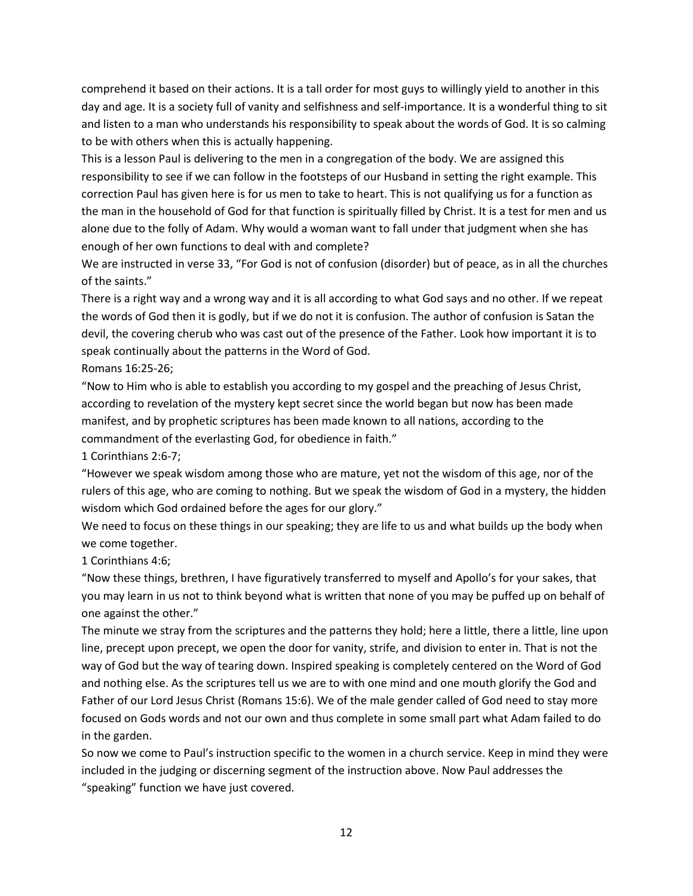comprehend it based on their actions. It is a tall order for most guys to willingly yield to another in this day and age. It is a society full of vanity and selfishness and self-importance. It is a wonderful thing to sit and listen to a man who understands his responsibility to speak about the words of God. It is so calming to be with others when this is actually happening.

This is a lesson Paul is delivering to the men in a congregation of the body. We are assigned this responsibility to see if we can follow in the footsteps of our Husband in setting the right example. This correction Paul has given here is for us men to take to heart. This is not qualifying us for a function as the man in the household of God for that function is spiritually filled by Christ. It is a test for men and us alone due to the folly of Adam. Why would a woman want to fall under that judgment when she has enough of her own functions to deal with and complete?

We are instructed in verse 33, "For God is not of confusion (disorder) but of peace, as in all the churches of the saints."

There is a right way and a wrong way and it is all according to what God says and no other. If we repeat the words of God then it is godly, but if we do not it is confusion. The author of confusion is Satan the devil, the covering cherub who was cast out of the presence of the Father. Look how important it is to speak continually about the patterns in the Word of God.

Romans 16:25-26;

"Now to Him who is able to establish you according to my gospel and the preaching of Jesus Christ, according to revelation of the mystery kept secret since the world began but now has been made manifest, and by prophetic scriptures has been made known to all nations, according to the commandment of the everlasting God, for obedience in faith."

1 Corinthians 2:6-7;

"However we speak wisdom among those who are mature, yet not the wisdom of this age, nor of the rulers of this age, who are coming to nothing. But we speak the wisdom of God in a mystery, the hidden wisdom which God ordained before the ages for our glory."

We need to focus on these things in our speaking; they are life to us and what builds up the body when we come together.

1 Corinthians 4:6;

"Now these things, brethren, I have figuratively transferred to myself and Apollo's for your sakes, that you may learn in us not to think beyond what is written that none of you may be puffed up on behalf of one against the other."

The minute we stray from the scriptures and the patterns they hold; here a little, there a little, line upon line, precept upon precept, we open the door for vanity, strife, and division to enter in. That is not the way of God but the way of tearing down. Inspired speaking is completely centered on the Word of God and nothing else. As the scriptures tell us we are to with one mind and one mouth glorify the God and Father of our Lord Jesus Christ (Romans 15:6). We of the male gender called of God need to stay more focused on Gods words and not our own and thus complete in some small part what Adam failed to do in the garden.

So now we come to Paul's instruction specific to the women in a church service. Keep in mind they were included in the judging or discerning segment of the instruction above. Now Paul addresses the "speaking" function we have just covered.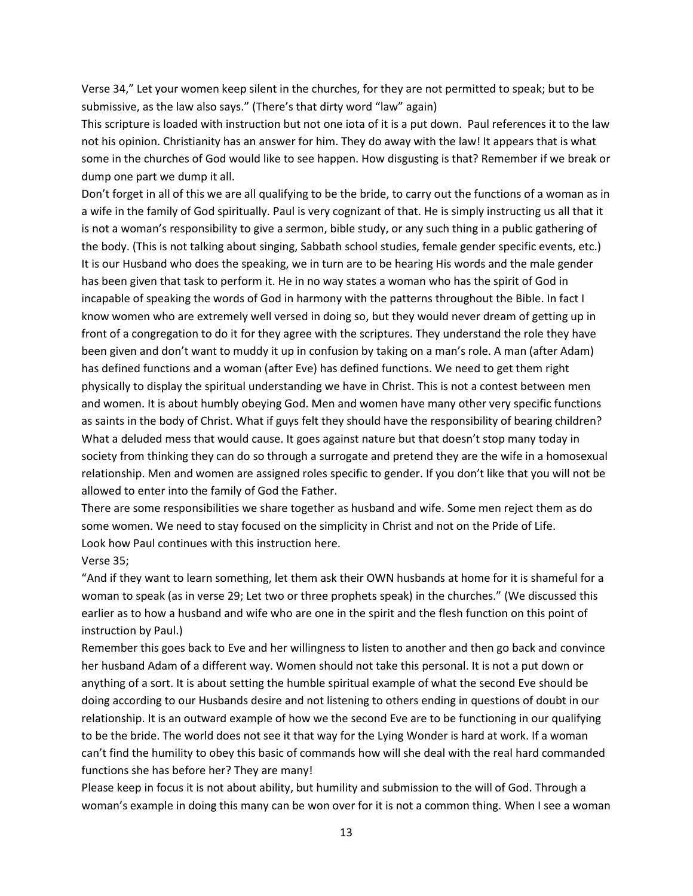Verse 34," Let your women keep silent in the churches, for they are not permitted to speak; but to be submissive, as the law also says." (There's that dirty word "law" again)

This scripture is loaded with instruction but not one iota of it is a put down. Paul references it to the law not his opinion. Christianity has an answer for him. They do away with the law! It appears that is what some in the churches of God would like to see happen. How disgusting is that? Remember if we break or dump one part we dump it all.

Don't forget in all of this we are all qualifying to be the bride, to carry out the functions of a woman as in a wife in the family of God spiritually. Paul is very cognizant of that. He is simply instructing us all that it is not a woman's responsibility to give a sermon, bible study, or any such thing in a public gathering of the body. (This is not talking about singing, Sabbath school studies, female gender specific events, etc.) It is our Husband who does the speaking, we in turn are to be hearing His words and the male gender has been given that task to perform it. He in no way states a woman who has the spirit of God in incapable of speaking the words of God in harmony with the patterns throughout the Bible. In fact I know women who are extremely well versed in doing so, but they would never dream of getting up in front of a congregation to do it for they agree with the scriptures. They understand the role they have been given and don't want to muddy it up in confusion by taking on a man's role. A man (after Adam) has defined functions and a woman (after Eve) has defined functions. We need to get them right physically to display the spiritual understanding we have in Christ. This is not a contest between men and women. It is about humbly obeying God. Men and women have many other very specific functions as saints in the body of Christ. What if guys felt they should have the responsibility of bearing children? What a deluded mess that would cause. It goes against nature but that doesn't stop many today in society from thinking they can do so through a surrogate and pretend they are the wife in a homosexual relationship. Men and women are assigned roles specific to gender. If you don't like that you will not be allowed to enter into the family of God the Father.

There are some responsibilities we share together as husband and wife. Some men reject them as do some women. We need to stay focused on the simplicity in Christ and not on the Pride of Life. Look how Paul continues with this instruction here.

# Verse 35;

"And if they want to learn something, let them ask their OWN husbands at home for it is shameful for a woman to speak (as in verse 29; Let two or three prophets speak) in the churches." (We discussed this earlier as to how a husband and wife who are one in the spirit and the flesh function on this point of instruction by Paul.)

Remember this goes back to Eve and her willingness to listen to another and then go back and convince her husband Adam of a different way. Women should not take this personal. It is not a put down or anything of a sort. It is about setting the humble spiritual example of what the second Eve should be doing according to our Husbands desire and not listening to others ending in questions of doubt in our relationship. It is an outward example of how we the second Eve are to be functioning in our qualifying to be the bride. The world does not see it that way for the Lying Wonder is hard at work. If a woman can't find the humility to obey this basic of commands how will she deal with the real hard commanded functions she has before her? They are many!

Please keep in focus it is not about ability, but humility and submission to the will of God. Through a woman's example in doing this many can be won over for it is not a common thing. When I see a woman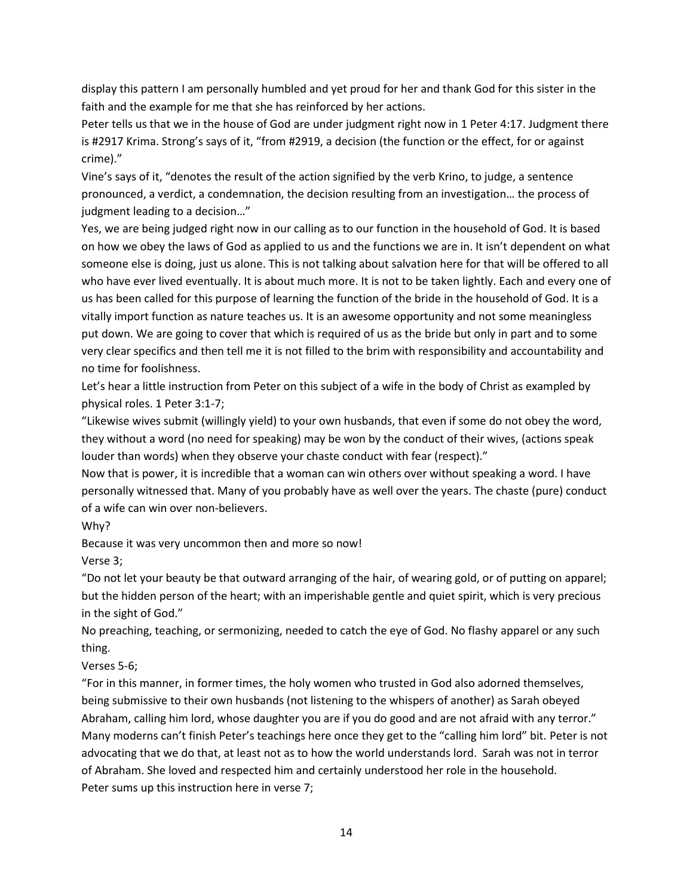display this pattern I am personally humbled and yet proud for her and thank God for this sister in the faith and the example for me that she has reinforced by her actions.

Peter tells us that we in the house of God are under judgment right now in 1 Peter 4:17. Judgment there is #2917 Krima. Strong's says of it, "from #2919, a decision (the function or the effect, for or against crime)."

Vine's says of it, "denotes the result of the action signified by the verb Krino, to judge, a sentence pronounced, a verdict, a condemnation, the decision resulting from an investigation… the process of judgment leading to a decision…"

Yes, we are being judged right now in our calling as to our function in the household of God. It is based on how we obey the laws of God as applied to us and the functions we are in. It isn't dependent on what someone else is doing, just us alone. This is not talking about salvation here for that will be offered to all who have ever lived eventually. It is about much more. It is not to be taken lightly. Each and every one of us has been called for this purpose of learning the function of the bride in the household of God. It is a vitally import function as nature teaches us. It is an awesome opportunity and not some meaningless put down. We are going to cover that which is required of us as the bride but only in part and to some very clear specifics and then tell me it is not filled to the brim with responsibility and accountability and no time for foolishness.

Let's hear a little instruction from Peter on this subject of a wife in the body of Christ as exampled by physical roles. 1 Peter 3:1-7;

"Likewise wives submit (willingly yield) to your own husbands, that even if some do not obey the word, they without a word (no need for speaking) may be won by the conduct of their wives, (actions speak louder than words) when they observe your chaste conduct with fear (respect)."

Now that is power, it is incredible that a woman can win others over without speaking a word. I have personally witnessed that. Many of you probably have as well over the years. The chaste (pure) conduct of a wife can win over non-believers.

Why?

Because it was very uncommon then and more so now!

Verse 3;

"Do not let your beauty be that outward arranging of the hair, of wearing gold, or of putting on apparel; but the hidden person of the heart; with an imperishable gentle and quiet spirit, which is very precious in the sight of God."

No preaching, teaching, or sermonizing, needed to catch the eye of God. No flashy apparel or any such thing.

Verses 5-6;

"For in this manner, in former times, the holy women who trusted in God also adorned themselves, being submissive to their own husbands (not listening to the whispers of another) as Sarah obeyed Abraham, calling him lord, whose daughter you are if you do good and are not afraid with any terror." Many moderns can't finish Peter's teachings here once they get to the "calling him lord" bit. Peter is not advocating that we do that, at least not as to how the world understands lord. Sarah was not in terror of Abraham. She loved and respected him and certainly understood her role in the household. Peter sums up this instruction here in verse 7;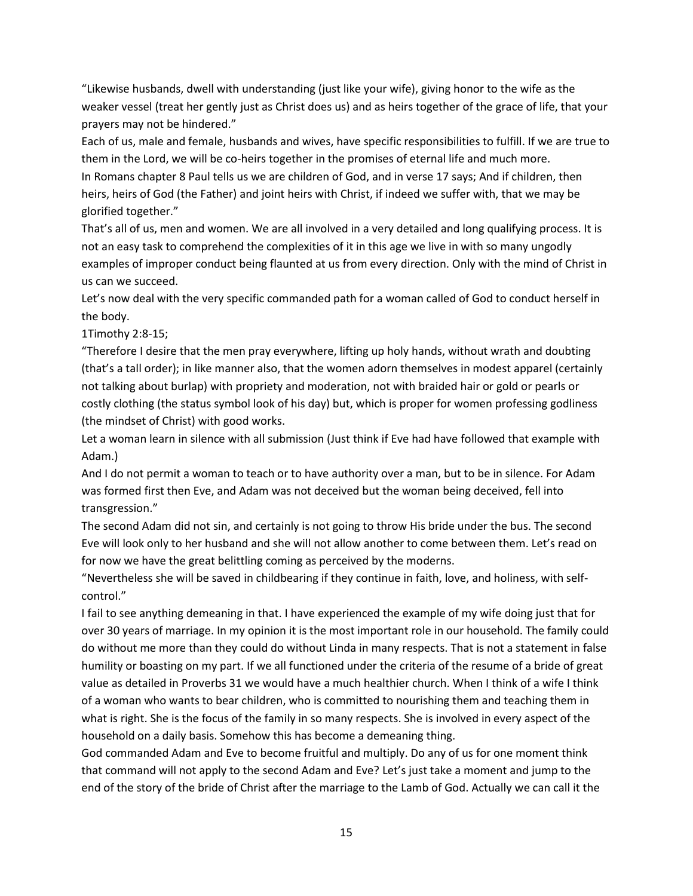"Likewise husbands, dwell with understanding (just like your wife), giving honor to the wife as the weaker vessel (treat her gently just as Christ does us) and as heirs together of the grace of life, that your prayers may not be hindered."

Each of us, male and female, husbands and wives, have specific responsibilities to fulfill. If we are true to them in the Lord, we will be co-heirs together in the promises of eternal life and much more.

In Romans chapter 8 Paul tells us we are children of God, and in verse 17 says; And if children, then heirs, heirs of God (the Father) and joint heirs with Christ, if indeed we suffer with, that we may be glorified together."

That's all of us, men and women. We are all involved in a very detailed and long qualifying process. It is not an easy task to comprehend the complexities of it in this age we live in with so many ungodly examples of improper conduct being flaunted at us from every direction. Only with the mind of Christ in us can we succeed.

Let's now deal with the very specific commanded path for a woman called of God to conduct herself in the body.

1Timothy 2:8-15;

"Therefore I desire that the men pray everywhere, lifting up holy hands, without wrath and doubting (that's a tall order); in like manner also, that the women adorn themselves in modest apparel (certainly not talking about burlap) with propriety and moderation, not with braided hair or gold or pearls or costly clothing (the status symbol look of his day) but, which is proper for women professing godliness (the mindset of Christ) with good works.

Let a woman learn in silence with all submission (Just think if Eve had have followed that example with Adam.)

And I do not permit a woman to teach or to have authority over a man, but to be in silence. For Adam was formed first then Eve, and Adam was not deceived but the woman being deceived, fell into transgression."

The second Adam did not sin, and certainly is not going to throw His bride under the bus. The second Eve will look only to her husband and she will not allow another to come between them. Let's read on for now we have the great belittling coming as perceived by the moderns.

"Nevertheless she will be saved in childbearing if they continue in faith, love, and holiness, with selfcontrol."

I fail to see anything demeaning in that. I have experienced the example of my wife doing just that for over 30 years of marriage. In my opinion it is the most important role in our household. The family could do without me more than they could do without Linda in many respects. That is not a statement in false humility or boasting on my part. If we all functioned under the criteria of the resume of a bride of great value as detailed in Proverbs 31 we would have a much healthier church. When I think of a wife I think of a woman who wants to bear children, who is committed to nourishing them and teaching them in what is right. She is the focus of the family in so many respects. She is involved in every aspect of the household on a daily basis. Somehow this has become a demeaning thing.

God commanded Adam and Eve to become fruitful and multiply. Do any of us for one moment think that command will not apply to the second Adam and Eve? Let's just take a moment and jump to the end of the story of the bride of Christ after the marriage to the Lamb of God. Actually we can call it the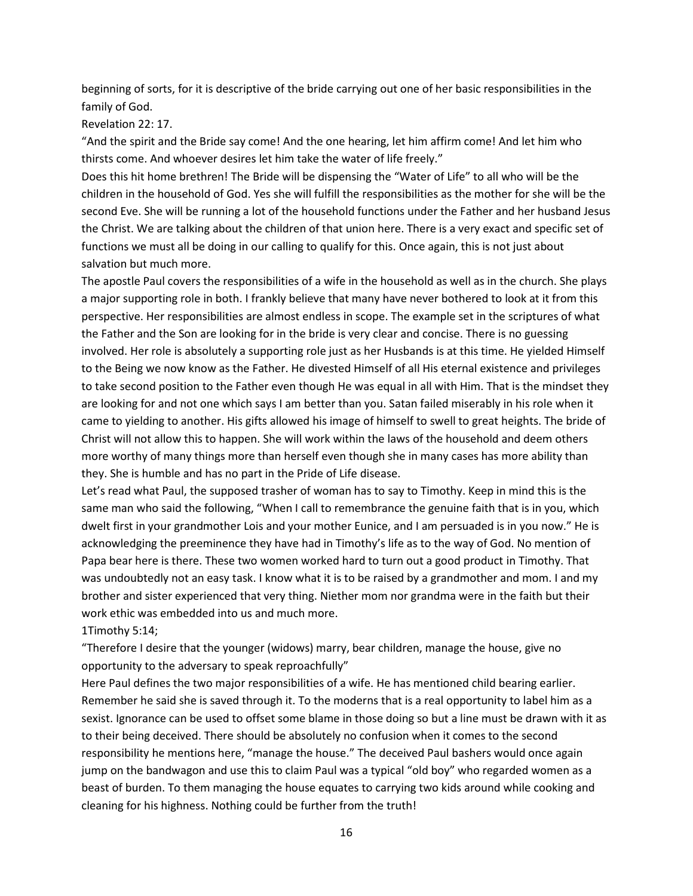beginning of sorts, for it is descriptive of the bride carrying out one of her basic responsibilities in the family of God.

Revelation 22: 17.

"And the spirit and the Bride say come! And the one hearing, let him affirm come! And let him who thirsts come. And whoever desires let him take the water of life freely."

Does this hit home brethren! The Bride will be dispensing the "Water of Life" to all who will be the children in the household of God. Yes she will fulfill the responsibilities as the mother for she will be the second Eve. She will be running a lot of the household functions under the Father and her husband Jesus the Christ. We are talking about the children of that union here. There is a very exact and specific set of functions we must all be doing in our calling to qualify for this. Once again, this is not just about salvation but much more.

The apostle Paul covers the responsibilities of a wife in the household as well as in the church. She plays a major supporting role in both. I frankly believe that many have never bothered to look at it from this perspective. Her responsibilities are almost endless in scope. The example set in the scriptures of what the Father and the Son are looking for in the bride is very clear and concise. There is no guessing involved. Her role is absolutely a supporting role just as her Husbands is at this time. He yielded Himself to the Being we now know as the Father. He divested Himself of all His eternal existence and privileges to take second position to the Father even though He was equal in all with Him. That is the mindset they are looking for and not one which says I am better than you. Satan failed miserably in his role when it came to yielding to another. His gifts allowed his image of himself to swell to great heights. The bride of Christ will not allow this to happen. She will work within the laws of the household and deem others more worthy of many things more than herself even though she in many cases has more ability than they. She is humble and has no part in the Pride of Life disease.

Let's read what Paul, the supposed trasher of woman has to say to Timothy. Keep in mind this is the same man who said the following, "When I call to remembrance the genuine faith that is in you, which dwelt first in your grandmother Lois and your mother Eunice, and I am persuaded is in you now." He is acknowledging the preeminence they have had in Timothy's life as to the way of God. No mention of Papa bear here is there. These two women worked hard to turn out a good product in Timothy. That was undoubtedly not an easy task. I know what it is to be raised by a grandmother and mom. I and my brother and sister experienced that very thing. Niether mom nor grandma were in the faith but their work ethic was embedded into us and much more.

1Timothy 5:14;

"Therefore I desire that the younger (widows) marry, bear children, manage the house, give no opportunity to the adversary to speak reproachfully"

Here Paul defines the two major responsibilities of a wife. He has mentioned child bearing earlier. Remember he said she is saved through it. To the moderns that is a real opportunity to label him as a sexist. Ignorance can be used to offset some blame in those doing so but a line must be drawn with it as to their being deceived. There should be absolutely no confusion when it comes to the second responsibility he mentions here, "manage the house." The deceived Paul bashers would once again jump on the bandwagon and use this to claim Paul was a typical "old boy" who regarded women as a beast of burden. To them managing the house equates to carrying two kids around while cooking and cleaning for his highness. Nothing could be further from the truth!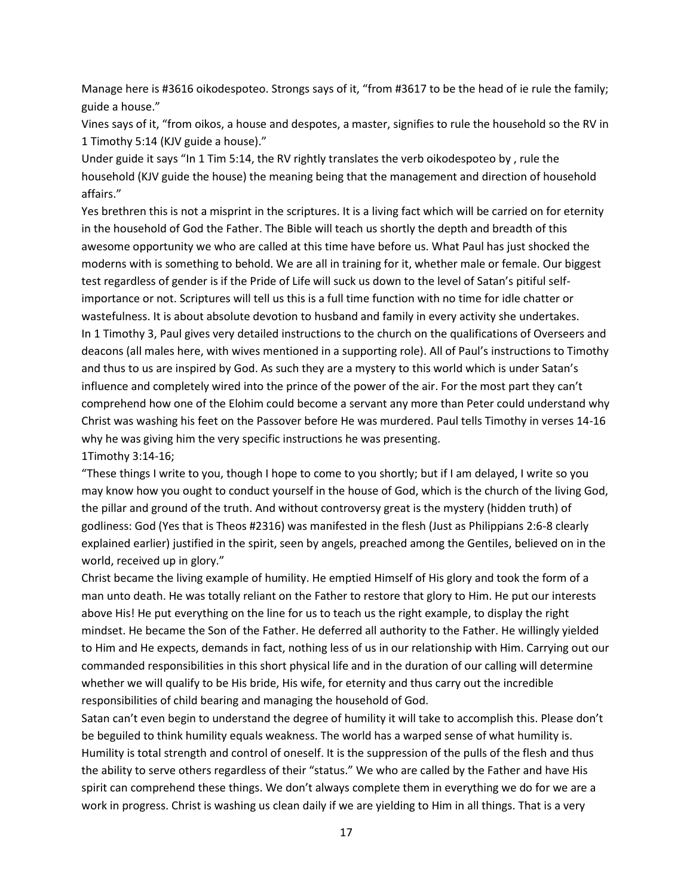Manage here is #3616 oikodespoteo. Strongs says of it, "from #3617 to be the head of ie rule the family; guide a house."

Vines says of it, "from oikos, a house and despotes, a master, signifies to rule the household so the RV in 1 Timothy 5:14 (KJV guide a house)."

Under guide it says "In 1 Tim 5:14, the RV rightly translates the verb oikodespoteo by , rule the household (KJV guide the house) the meaning being that the management and direction of household affairs."

Yes brethren this is not a misprint in the scriptures. It is a living fact which will be carried on for eternity in the household of God the Father. The Bible will teach us shortly the depth and breadth of this awesome opportunity we who are called at this time have before us. What Paul has just shocked the moderns with is something to behold. We are all in training for it, whether male or female. Our biggest test regardless of gender is if the Pride of Life will suck us down to the level of Satan's pitiful selfimportance or not. Scriptures will tell us this is a full time function with no time for idle chatter or wastefulness. It is about absolute devotion to husband and family in every activity she undertakes. In 1 Timothy 3, Paul gives very detailed instructions to the church on the qualifications of Overseers and deacons (all males here, with wives mentioned in a supporting role). All of Paul's instructions to Timothy and thus to us are inspired by God. As such they are a mystery to this world which is under Satan's influence and completely wired into the prince of the power of the air. For the most part they can't comprehend how one of the Elohim could become a servant any more than Peter could understand why Christ was washing his feet on the Passover before He was murdered. Paul tells Timothy in verses 14-16 why he was giving him the very specific instructions he was presenting. 1Timothy 3:14-16;

"These things I write to you, though I hope to come to you shortly; but if I am delayed, I write so you may know how you ought to conduct yourself in the house of God, which is the church of the living God, the pillar and ground of the truth. And without controversy great is the mystery (hidden truth) of godliness: God (Yes that is Theos #2316) was manifested in the flesh (Just as Philippians 2:6-8 clearly explained earlier) justified in the spirit, seen by angels, preached among the Gentiles, believed on in the world, received up in glory."

Christ became the living example of humility. He emptied Himself of His glory and took the form of a man unto death. He was totally reliant on the Father to restore that glory to Him. He put our interests above His! He put everything on the line for us to teach us the right example, to display the right mindset. He became the Son of the Father. He deferred all authority to the Father. He willingly yielded to Him and He expects, demands in fact, nothing less of us in our relationship with Him. Carrying out our commanded responsibilities in this short physical life and in the duration of our calling will determine whether we will qualify to be His bride, His wife, for eternity and thus carry out the incredible responsibilities of child bearing and managing the household of God.

Satan can't even begin to understand the degree of humility it will take to accomplish this. Please don't be beguiled to think humility equals weakness. The world has a warped sense of what humility is. Humility is total strength and control of oneself. It is the suppression of the pulls of the flesh and thus the ability to serve others regardless of their "status." We who are called by the Father and have His spirit can comprehend these things. We don't always complete them in everything we do for we are a work in progress. Christ is washing us clean daily if we are yielding to Him in all things. That is a very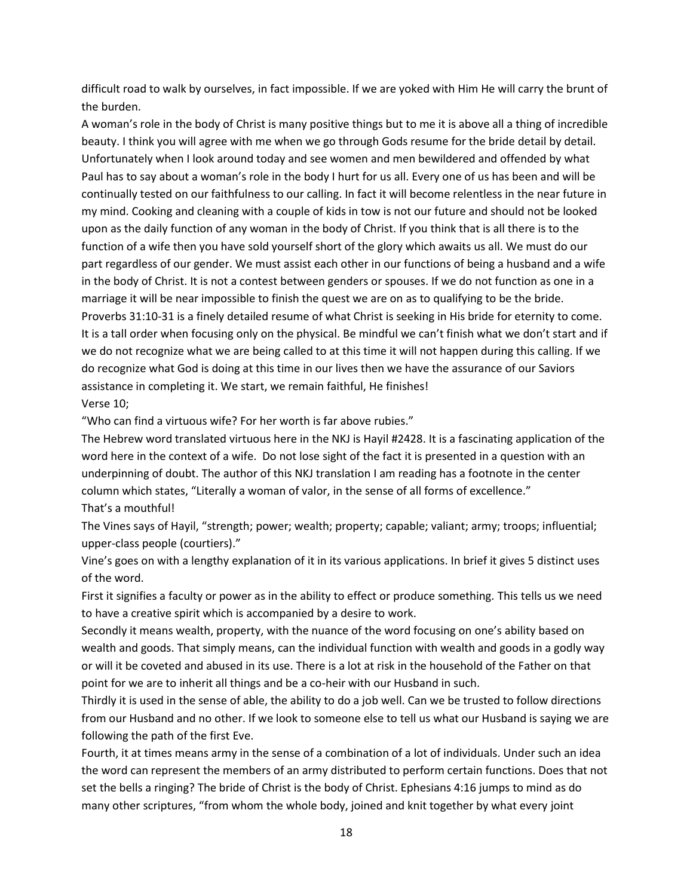difficult road to walk by ourselves, in fact impossible. If we are yoked with Him He will carry the brunt of the burden.

A woman's role in the body of Christ is many positive things but to me it is above all a thing of incredible beauty. I think you will agree with me when we go through Gods resume for the bride detail by detail. Unfortunately when I look around today and see women and men bewildered and offended by what Paul has to say about a woman's role in the body I hurt for us all. Every one of us has been and will be continually tested on our faithfulness to our calling. In fact it will become relentless in the near future in my mind. Cooking and cleaning with a couple of kids in tow is not our future and should not be looked upon as the daily function of any woman in the body of Christ. If you think that is all there is to the function of a wife then you have sold yourself short of the glory which awaits us all. We must do our part regardless of our gender. We must assist each other in our functions of being a husband and a wife in the body of Christ. It is not a contest between genders or spouses. If we do not function as one in a marriage it will be near impossible to finish the quest we are on as to qualifying to be the bride. Proverbs 31:10-31 is a finely detailed resume of what Christ is seeking in His bride for eternity to come. It is a tall order when focusing only on the physical. Be mindful we can't finish what we don't start and if we do not recognize what we are being called to at this time it will not happen during this calling. If we do recognize what God is doing at this time in our lives then we have the assurance of our Saviors assistance in completing it. We start, we remain faithful, He finishes! Verse 10;

"Who can find a virtuous wife? For her worth is far above rubies."

The Hebrew word translated virtuous here in the NKJ is Hayil #2428. It is a fascinating application of the word here in the context of a wife. Do not lose sight of the fact it is presented in a question with an underpinning of doubt. The author of this NKJ translation I am reading has a footnote in the center column which states, "Literally a woman of valor, in the sense of all forms of excellence." That's a mouthful!

The Vines says of Hayil, "strength; power; wealth; property; capable; valiant; army; troops; influential; upper-class people (courtiers)."

Vine's goes on with a lengthy explanation of it in its various applications. In brief it gives 5 distinct uses of the word.

First it signifies a faculty or power as in the ability to effect or produce something. This tells us we need to have a creative spirit which is accompanied by a desire to work.

Secondly it means wealth, property, with the nuance of the word focusing on one's ability based on wealth and goods. That simply means, can the individual function with wealth and goods in a godly way or will it be coveted and abused in its use. There is a lot at risk in the household of the Father on that point for we are to inherit all things and be a co-heir with our Husband in such.

Thirdly it is used in the sense of able, the ability to do a job well. Can we be trusted to follow directions from our Husband and no other. If we look to someone else to tell us what our Husband is saying we are following the path of the first Eve.

Fourth, it at times means army in the sense of a combination of a lot of individuals. Under such an idea the word can represent the members of an army distributed to perform certain functions. Does that not set the bells a ringing? The bride of Christ is the body of Christ. Ephesians 4:16 jumps to mind as do many other scriptures, "from whom the whole body, joined and knit together by what every joint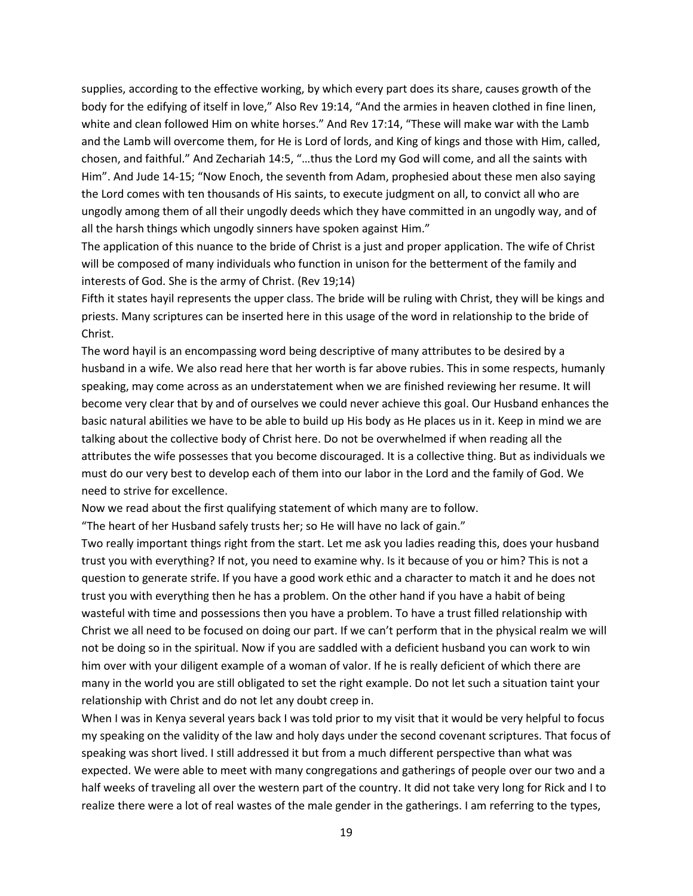supplies, according to the effective working, by which every part does its share, causes growth of the body for the edifying of itself in love," Also Rev 19:14, "And the armies in heaven clothed in fine linen, white and clean followed Him on white horses." And Rev 17:14, "These will make war with the Lamb and the Lamb will overcome them, for He is Lord of lords, and King of kings and those with Him, called, chosen, and faithful." And Zechariah 14:5, "…thus the Lord my God will come, and all the saints with Him". And Jude 14-15; "Now Enoch, the seventh from Adam, prophesied about these men also saying the Lord comes with ten thousands of His saints, to execute judgment on all, to convict all who are ungodly among them of all their ungodly deeds which they have committed in an ungodly way, and of all the harsh things which ungodly sinners have spoken against Him."

The application of this nuance to the bride of Christ is a just and proper application. The wife of Christ will be composed of many individuals who function in unison for the betterment of the family and interests of God. She is the army of Christ. (Rev 19;14)

Fifth it states hayil represents the upper class. The bride will be ruling with Christ, they will be kings and priests. Many scriptures can be inserted here in this usage of the word in relationship to the bride of Christ.

The word hayil is an encompassing word being descriptive of many attributes to be desired by a husband in a wife. We also read here that her worth is far above rubies. This in some respects, humanly speaking, may come across as an understatement when we are finished reviewing her resume. It will become very clear that by and of ourselves we could never achieve this goal. Our Husband enhances the basic natural abilities we have to be able to build up His body as He places us in it. Keep in mind we are talking about the collective body of Christ here. Do not be overwhelmed if when reading all the attributes the wife possesses that you become discouraged. It is a collective thing. But as individuals we must do our very best to develop each of them into our labor in the Lord and the family of God. We need to strive for excellence.

Now we read about the first qualifying statement of which many are to follow.

"The heart of her Husband safely trusts her; so He will have no lack of gain."

Two really important things right from the start. Let me ask you ladies reading this, does your husband trust you with everything? If not, you need to examine why. Is it because of you or him? This is not a question to generate strife. If you have a good work ethic and a character to match it and he does not trust you with everything then he has a problem. On the other hand if you have a habit of being wasteful with time and possessions then you have a problem. To have a trust filled relationship with Christ we all need to be focused on doing our part. If we can't perform that in the physical realm we will not be doing so in the spiritual. Now if you are saddled with a deficient husband you can work to win him over with your diligent example of a woman of valor. If he is really deficient of which there are many in the world you are still obligated to set the right example. Do not let such a situation taint your relationship with Christ and do not let any doubt creep in.

When I was in Kenya several years back I was told prior to my visit that it would be very helpful to focus my speaking on the validity of the law and holy days under the second covenant scriptures. That focus of speaking was short lived. I still addressed it but from a much different perspective than what was expected. We were able to meet with many congregations and gatherings of people over our two and a half weeks of traveling all over the western part of the country. It did not take very long for Rick and I to realize there were a lot of real wastes of the male gender in the gatherings. I am referring to the types,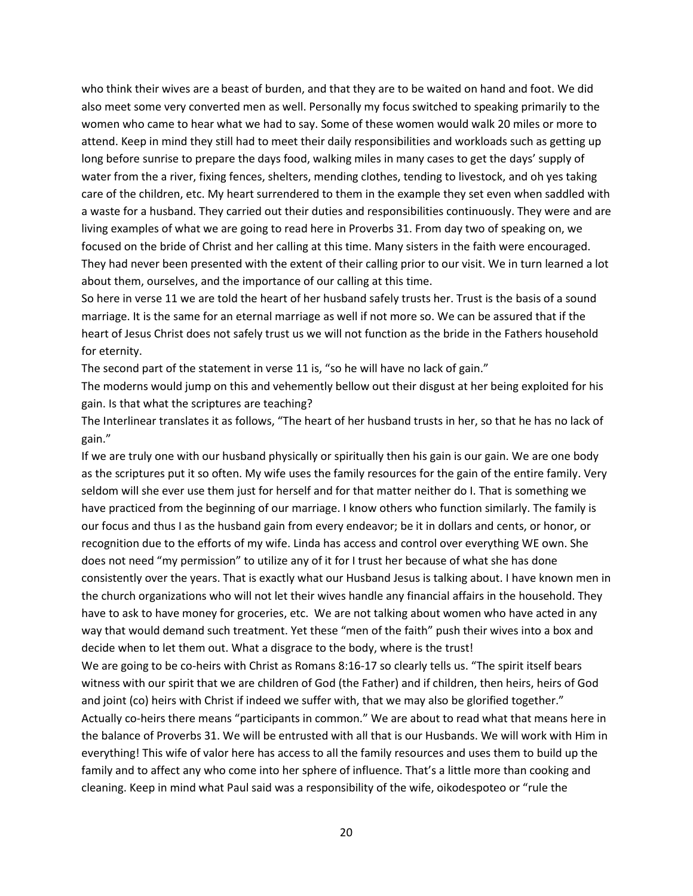who think their wives are a beast of burden, and that they are to be waited on hand and foot. We did also meet some very converted men as well. Personally my focus switched to speaking primarily to the women who came to hear what we had to say. Some of these women would walk 20 miles or more to attend. Keep in mind they still had to meet their daily responsibilities and workloads such as getting up long before sunrise to prepare the days food, walking miles in many cases to get the days' supply of water from the a river, fixing fences, shelters, mending clothes, tending to livestock, and oh yes taking care of the children, etc. My heart surrendered to them in the example they set even when saddled with a waste for a husband. They carried out their duties and responsibilities continuously. They were and are living examples of what we are going to read here in Proverbs 31. From day two of speaking on, we focused on the bride of Christ and her calling at this time. Many sisters in the faith were encouraged. They had never been presented with the extent of their calling prior to our visit. We in turn learned a lot about them, ourselves, and the importance of our calling at this time.

So here in verse 11 we are told the heart of her husband safely trusts her. Trust is the basis of a sound marriage. It is the same for an eternal marriage as well if not more so. We can be assured that if the heart of Jesus Christ does not safely trust us we will not function as the bride in the Fathers household for eternity.

The second part of the statement in verse 11 is, "so he will have no lack of gain."

The moderns would jump on this and vehemently bellow out their disgust at her being exploited for his gain. Is that what the scriptures are teaching?

The Interlinear translates it as follows, "The heart of her husband trusts in her, so that he has no lack of gain."

If we are truly one with our husband physically or spiritually then his gain is our gain. We are one body as the scriptures put it so often. My wife uses the family resources for the gain of the entire family. Very seldom will she ever use them just for herself and for that matter neither do I. That is something we have practiced from the beginning of our marriage. I know others who function similarly. The family is our focus and thus I as the husband gain from every endeavor; be it in dollars and cents, or honor, or recognition due to the efforts of my wife. Linda has access and control over everything WE own. She does not need "my permission" to utilize any of it for I trust her because of what she has done consistently over the years. That is exactly what our Husband Jesus is talking about. I have known men in the church organizations who will not let their wives handle any financial affairs in the household. They have to ask to have money for groceries, etc. We are not talking about women who have acted in any way that would demand such treatment. Yet these "men of the faith" push their wives into a box and decide when to let them out. What a disgrace to the body, where is the trust!

We are going to be co-heirs with Christ as Romans 8:16-17 so clearly tells us. "The spirit itself bears witness with our spirit that we are children of God (the Father) and if children, then heirs, heirs of God and joint (co) heirs with Christ if indeed we suffer with, that we may also be glorified together." Actually co-heirs there means "participants in common." We are about to read what that means here in the balance of Proverbs 31. We will be entrusted with all that is our Husbands. We will work with Him in everything! This wife of valor here has access to all the family resources and uses them to build up the family and to affect any who come into her sphere of influence. That's a little more than cooking and cleaning. Keep in mind what Paul said was a responsibility of the wife, oikodespoteo or "rule the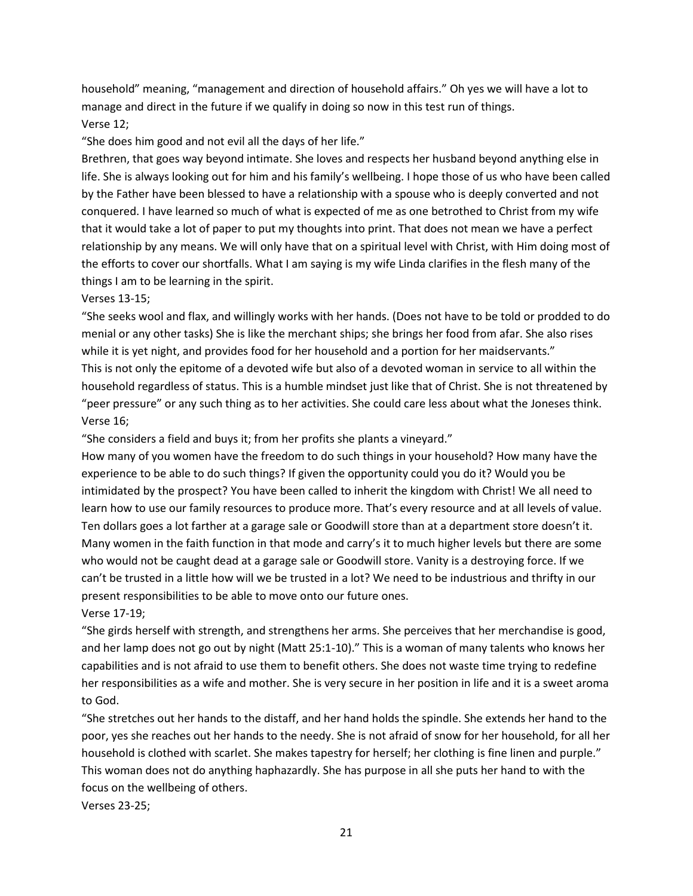household" meaning, "management and direction of household affairs." Oh yes we will have a lot to manage and direct in the future if we qualify in doing so now in this test run of things. Verse 12;

"She does him good and not evil all the days of her life."

Brethren, that goes way beyond intimate. She loves and respects her husband beyond anything else in life. She is always looking out for him and his family's wellbeing. I hope those of us who have been called by the Father have been blessed to have a relationship with a spouse who is deeply converted and not conquered. I have learned so much of what is expected of me as one betrothed to Christ from my wife that it would take a lot of paper to put my thoughts into print. That does not mean we have a perfect relationship by any means. We will only have that on a spiritual level with Christ, with Him doing most of the efforts to cover our shortfalls. What I am saying is my wife Linda clarifies in the flesh many of the things I am to be learning in the spirit.

### Verses 13-15;

"She seeks wool and flax, and willingly works with her hands. (Does not have to be told or prodded to do menial or any other tasks) She is like the merchant ships; she brings her food from afar. She also rises while it is yet night, and provides food for her household and a portion for her maidservants." This is not only the epitome of a devoted wife but also of a devoted woman in service to all within the household regardless of status. This is a humble mindset just like that of Christ. She is not threatened by "peer pressure" or any such thing as to her activities. She could care less about what the Joneses think. Verse 16;

"She considers a field and buys it; from her profits she plants a vineyard."

How many of you women have the freedom to do such things in your household? How many have the experience to be able to do such things? If given the opportunity could you do it? Would you be intimidated by the prospect? You have been called to inherit the kingdom with Christ! We all need to learn how to use our family resources to produce more. That's every resource and at all levels of value. Ten dollars goes a lot farther at a garage sale or Goodwill store than at a department store doesn't it. Many women in the faith function in that mode and carry's it to much higher levels but there are some who would not be caught dead at a garage sale or Goodwill store. Vanity is a destroying force. If we can't be trusted in a little how will we be trusted in a lot? We need to be industrious and thrifty in our present responsibilities to be able to move onto our future ones.

Verse 17-19;

"She girds herself with strength, and strengthens her arms. She perceives that her merchandise is good, and her lamp does not go out by night (Matt 25:1-10)." This is a woman of many talents who knows her capabilities and is not afraid to use them to benefit others. She does not waste time trying to redefine her responsibilities as a wife and mother. She is very secure in her position in life and it is a sweet aroma to God.

"She stretches out her hands to the distaff, and her hand holds the spindle. She extends her hand to the poor, yes she reaches out her hands to the needy. She is not afraid of snow for her household, for all her household is clothed with scarlet. She makes tapestry for herself; her clothing is fine linen and purple." This woman does not do anything haphazardly. She has purpose in all she puts her hand to with the focus on the wellbeing of others.

Verses 23-25;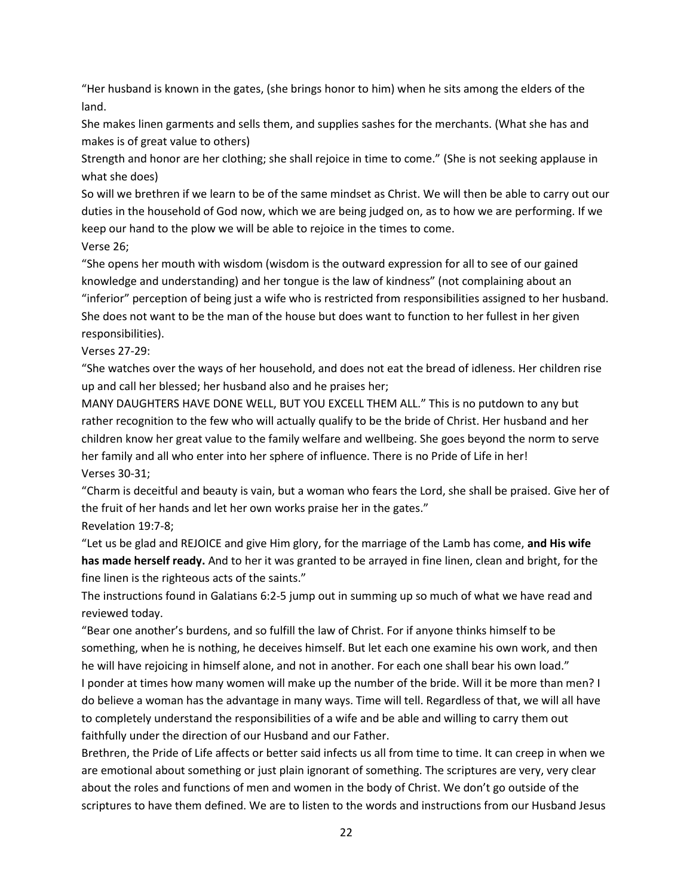"Her husband is known in the gates, (she brings honor to him) when he sits among the elders of the land.

She makes linen garments and sells them, and supplies sashes for the merchants. (What she has and makes is of great value to others)

Strength and honor are her clothing; she shall rejoice in time to come." (She is not seeking applause in what she does)

So will we brethren if we learn to be of the same mindset as Christ. We will then be able to carry out our duties in the household of God now, which we are being judged on, as to how we are performing. If we keep our hand to the plow we will be able to rejoice in the times to come. Verse 26;

"She opens her mouth with wisdom (wisdom is the outward expression for all to see of our gained knowledge and understanding) and her tongue is the law of kindness" (not complaining about an "inferior" perception of being just a wife who is restricted from responsibilities assigned to her husband. She does not want to be the man of the house but does want to function to her fullest in her given responsibilities).

Verses 27-29:

"She watches over the ways of her household, and does not eat the bread of idleness. Her children rise up and call her blessed; her husband also and he praises her;

MANY DAUGHTERS HAVE DONE WELL, BUT YOU EXCELL THEM ALL." This is no putdown to any but rather recognition to the few who will actually qualify to be the bride of Christ. Her husband and her children know her great value to the family welfare and wellbeing. She goes beyond the norm to serve her family and all who enter into her sphere of influence. There is no Pride of Life in her! Verses 30-31;

"Charm is deceitful and beauty is vain, but a woman who fears the Lord, she shall be praised. Give her of the fruit of her hands and let her own works praise her in the gates."

Revelation 19:7-8;

"Let us be glad and REJOICE and give Him glory, for the marriage of the Lamb has come, **and His wife has made herself ready.** And to her it was granted to be arrayed in fine linen, clean and bright, for the fine linen is the righteous acts of the saints."

The instructions found in Galatians 6:2-5 jump out in summing up so much of what we have read and reviewed today.

"Bear one another's burdens, and so fulfill the law of Christ. For if anyone thinks himself to be something, when he is nothing, he deceives himself. But let each one examine his own work, and then he will have rejoicing in himself alone, and not in another. For each one shall bear his own load."

I ponder at times how many women will make up the number of the bride. Will it be more than men? I do believe a woman has the advantage in many ways. Time will tell. Regardless of that, we will all have to completely understand the responsibilities of a wife and be able and willing to carry them out faithfully under the direction of our Husband and our Father.

Brethren, the Pride of Life affects or better said infects us all from time to time. It can creep in when we are emotional about something or just plain ignorant of something. The scriptures are very, very clear about the roles and functions of men and women in the body of Christ. We don't go outside of the scriptures to have them defined. We are to listen to the words and instructions from our Husband Jesus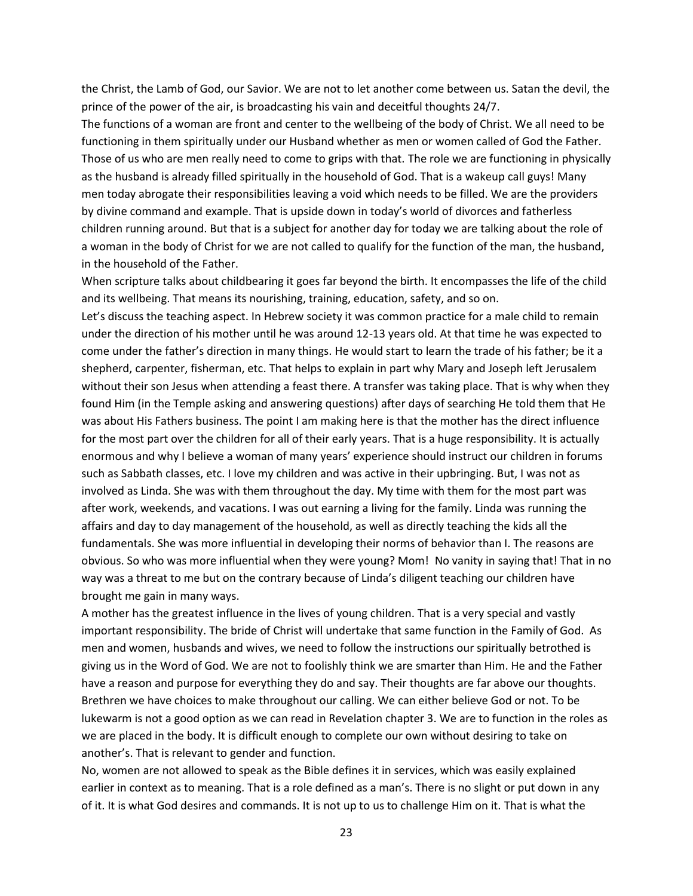the Christ, the Lamb of God, our Savior. We are not to let another come between us. Satan the devil, the prince of the power of the air, is broadcasting his vain and deceitful thoughts 24/7.

The functions of a woman are front and center to the wellbeing of the body of Christ. We all need to be functioning in them spiritually under our Husband whether as men or women called of God the Father. Those of us who are men really need to come to grips with that. The role we are functioning in physically as the husband is already filled spiritually in the household of God. That is a wakeup call guys! Many men today abrogate their responsibilities leaving a void which needs to be filled. We are the providers by divine command and example. That is upside down in today's world of divorces and fatherless children running around. But that is a subject for another day for today we are talking about the role of a woman in the body of Christ for we are not called to qualify for the function of the man, the husband, in the household of the Father.

When scripture talks about childbearing it goes far beyond the birth. It encompasses the life of the child and its wellbeing. That means its nourishing, training, education, safety, and so on.

Let's discuss the teaching aspect. In Hebrew society it was common practice for a male child to remain under the direction of his mother until he was around 12-13 years old. At that time he was expected to come under the father's direction in many things. He would start to learn the trade of his father; be it a shepherd, carpenter, fisherman, etc. That helps to explain in part why Mary and Joseph left Jerusalem without their son Jesus when attending a feast there. A transfer was taking place. That is why when they found Him (in the Temple asking and answering questions) after days of searching He told them that He was about His Fathers business. The point I am making here is that the mother has the direct influence for the most part over the children for all of their early years. That is a huge responsibility. It is actually enormous and why I believe a woman of many years' experience should instruct our children in forums such as Sabbath classes, etc. I love my children and was active in their upbringing. But, I was not as involved as Linda. She was with them throughout the day. My time with them for the most part was after work, weekends, and vacations. I was out earning a living for the family. Linda was running the affairs and day to day management of the household, as well as directly teaching the kids all the fundamentals. She was more influential in developing their norms of behavior than I. The reasons are obvious. So who was more influential when they were young? Mom! No vanity in saying that! That in no way was a threat to me but on the contrary because of Linda's diligent teaching our children have brought me gain in many ways.

A mother has the greatest influence in the lives of young children. That is a very special and vastly important responsibility. The bride of Christ will undertake that same function in the Family of God. As men and women, husbands and wives, we need to follow the instructions our spiritually betrothed is giving us in the Word of God. We are not to foolishly think we are smarter than Him. He and the Father have a reason and purpose for everything they do and say. Their thoughts are far above our thoughts. Brethren we have choices to make throughout our calling. We can either believe God or not. To be lukewarm is not a good option as we can read in Revelation chapter 3. We are to function in the roles as we are placed in the body. It is difficult enough to complete our own without desiring to take on another's. That is relevant to gender and function.

No, women are not allowed to speak as the Bible defines it in services, which was easily explained earlier in context as to meaning. That is a role defined as a man's. There is no slight or put down in any of it. It is what God desires and commands. It is not up to us to challenge Him on it. That is what the